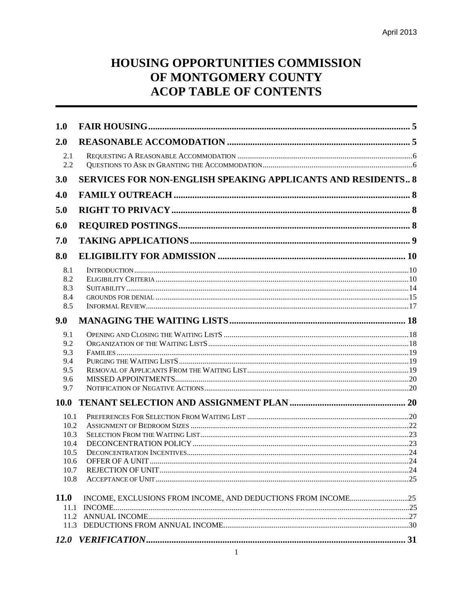# HOUSING OPPORTUNITIES COMMISSION OF MONTGOMERY COUNTY **ACOP TABLE OF CONTENTS**

| 1.0          |                                                                     |  |
|--------------|---------------------------------------------------------------------|--|
| 2.0          |                                                                     |  |
| 2.1<br>2.2   |                                                                     |  |
| 3.0          | <b>SERVICES FOR NON-ENGLISH SPEAKING APPLICANTS AND RESIDENTS 8</b> |  |
| 4.0          |                                                                     |  |
| 5.0          |                                                                     |  |
| 6.0          |                                                                     |  |
| 7.0          |                                                                     |  |
| 8.0          |                                                                     |  |
| 8.1          |                                                                     |  |
| 8.2<br>8.3   |                                                                     |  |
| 8.4          |                                                                     |  |
| 8.5          |                                                                     |  |
| 9.0          |                                                                     |  |
| 9.1          |                                                                     |  |
| 9.2<br>9.3   |                                                                     |  |
| 9.4          |                                                                     |  |
| 9.5          |                                                                     |  |
| 9.6          |                                                                     |  |
| 9.7          |                                                                     |  |
| <b>10.0</b>  |                                                                     |  |
| 10.1         |                                                                     |  |
| 10.2<br>10.3 |                                                                     |  |
| 10.4         |                                                                     |  |
| 10.5         |                                                                     |  |
| 10.6         | OFFER OF A UNIT                                                     |  |
| 10.7<br>10.8 |                                                                     |  |
|              |                                                                     |  |
| <b>11.0</b>  |                                                                     |  |
| 11.1         |                                                                     |  |
| 11.2         |                                                                     |  |
|              |                                                                     |  |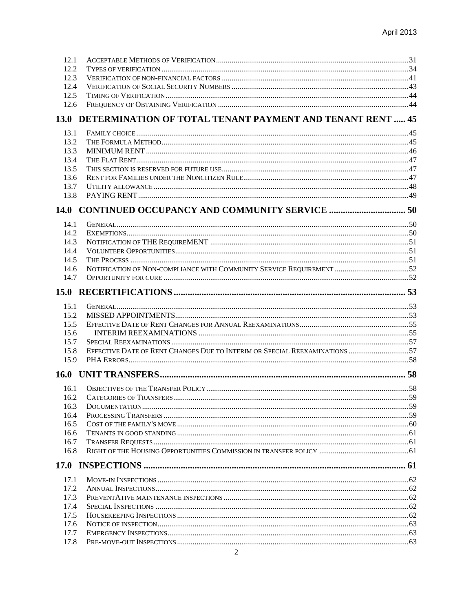| 12.1 |                                                                            |  |
|------|----------------------------------------------------------------------------|--|
| 12.2 |                                                                            |  |
| 12.3 |                                                                            |  |
| 12.4 |                                                                            |  |
| 12.5 |                                                                            |  |
| 12.6 |                                                                            |  |
|      | 13.0 DETERMINATION OF TOTAL TENANT PAYMENT AND TENANT RENT  45             |  |
| 13.1 |                                                                            |  |
| 13.2 |                                                                            |  |
| 13.3 |                                                                            |  |
| 13.4 |                                                                            |  |
| 13.5 |                                                                            |  |
| 13.6 |                                                                            |  |
| 13.7 |                                                                            |  |
| 13.8 |                                                                            |  |
|      |                                                                            |  |
| 14.1 |                                                                            |  |
| 14.2 |                                                                            |  |
| 14.3 |                                                                            |  |
| 14.4 |                                                                            |  |
| 14.5 |                                                                            |  |
| 14.6 |                                                                            |  |
| 14.7 |                                                                            |  |
|      |                                                                            |  |
| 15.1 |                                                                            |  |
| 15.2 |                                                                            |  |
| 15.5 |                                                                            |  |
| 15.6 |                                                                            |  |
| 15.7 |                                                                            |  |
| 15.8 | EFFECTIVE DATE OF RENT CHANGES DUE TO INTERIM OR SPECIAL REEXAMINATIONS 57 |  |
| 15.9 |                                                                            |  |
|      |                                                                            |  |
| 16.1 |                                                                            |  |
| 16.2 |                                                                            |  |
| 16.3 |                                                                            |  |
| 16.4 |                                                                            |  |
| 16.5 |                                                                            |  |
| 16.6 |                                                                            |  |
| 16.7 |                                                                            |  |
| 16.8 |                                                                            |  |
|      |                                                                            |  |
| 17.1 |                                                                            |  |
| 17.2 |                                                                            |  |
| 17.3 |                                                                            |  |
| 17.4 |                                                                            |  |
| 17.5 |                                                                            |  |
| 17.6 |                                                                            |  |
| 17.7 |                                                                            |  |
| 17.8 |                                                                            |  |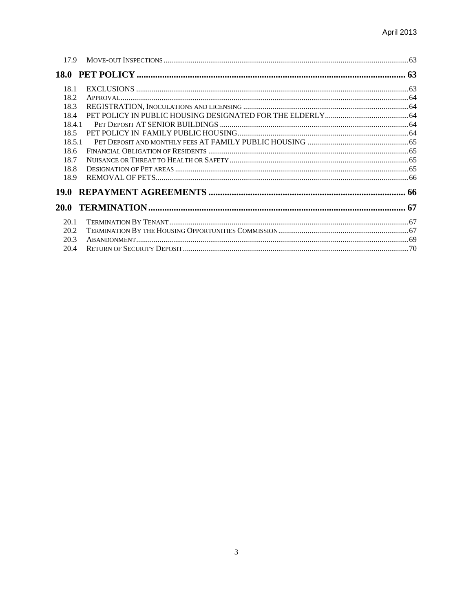| 18.1   |  |
|--------|--|
| 18.2   |  |
| 18.3   |  |
| 18.4   |  |
| 18.4.1 |  |
| 18.5   |  |
| 18.5.1 |  |
| 18.6   |  |
| 18.7   |  |
| 18.8   |  |
| 18.9   |  |
|        |  |
|        |  |
| 20.1   |  |
| 20.2   |  |
| 20.3   |  |
| 20.4   |  |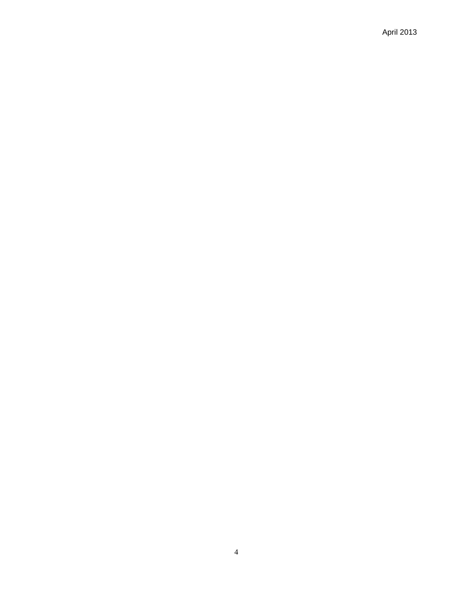April 2013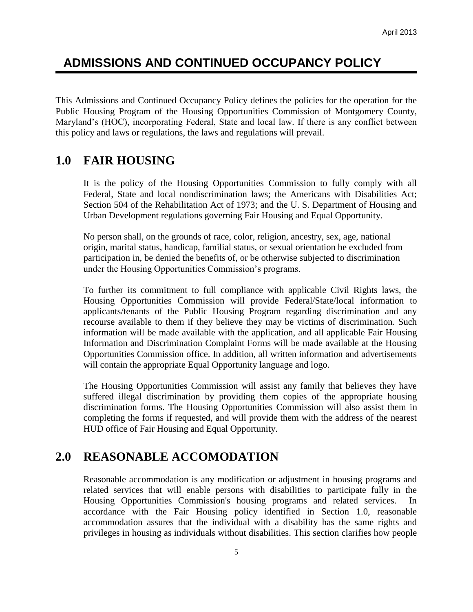# **ADMISSIONS AND CONTINUED OCCUPANCY POLICY**

This Admissions and Continued Occupancy Policy defines the policies for the operation for the Public Housing Program of the Housing Opportunities Commission of Montgomery County, Maryland's (HOC), incorporating Federal, State and local law. If there is any conflict between this policy and laws or regulations, the laws and regulations will prevail.

# **1.0 FAIR HOUSING**

It is the policy of the Housing Opportunities Commission to fully comply with all Federal, State and local nondiscrimination laws; the Americans with Disabilities Act; Section 504 of the Rehabilitation Act of 1973; and the U. S. Department of Housing and Urban Development regulations governing Fair Housing and Equal Opportunity.

No person shall, on the grounds of race, color, religion, ancestry, sex, age, national origin, marital status, handicap, familial status, or sexual orientation be excluded from participation in, be denied the benefits of, or be otherwise subjected to discrimination under the Housing Opportunities Commission's programs.

To further its commitment to full compliance with applicable Civil Rights laws, the Housing Opportunities Commission will provide Federal/State/local information to applicants/tenants of the Public Housing Program regarding discrimination and any recourse available to them if they believe they may be victims of discrimination. Such information will be made available with the application, and all applicable Fair Housing Information and Discrimination Complaint Forms will be made available at the Housing Opportunities Commission office. In addition, all written information and advertisements will contain the appropriate Equal Opportunity language and logo.

The Housing Opportunities Commission will assist any family that believes they have suffered illegal discrimination by providing them copies of the appropriate housing discrimination forms. The Housing Opportunities Commission will also assist them in completing the forms if requested, and will provide them with the address of the nearest HUD office of Fair Housing and Equal Opportunity.

## **2.0 REASONABLE ACCOMODATION**

Reasonable accommodation is any modification or adjustment in housing programs and related services that will enable persons with disabilities to participate fully in the Housing Opportunities Commission's housing programs and related services. In accordance with the Fair Housing policy identified in Section 1.0, reasonable accommodation assures that the individual with a disability has the same rights and privileges in housing as individuals without disabilities. This section clarifies how people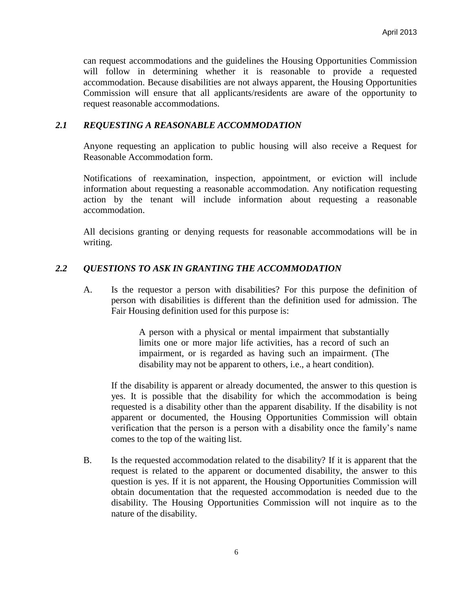can request accommodations and the guidelines the Housing Opportunities Commission will follow in determining whether it is reasonable to provide a requested accommodation. Because disabilities are not always apparent, the Housing Opportunities Commission will ensure that all applicants/residents are aware of the opportunity to request reasonable accommodations.

### *2.1 REQUESTING A REASONABLE ACCOMMODATION*

Anyone requesting an application to public housing will also receive a Request for Reasonable Accommodation form.

Notifications of reexamination, inspection, appointment, or eviction will include information about requesting a reasonable accommodation. Any notification requesting action by the tenant will include information about requesting a reasonable accommodation.

All decisions granting or denying requests for reasonable accommodations will be in writing.

### *2.2 QUESTIONS TO ASK IN GRANTING THE ACCOMMODATION*

A. Is the requestor a person with disabilities? For this purpose the definition of person with disabilities is different than the definition used for admission. The Fair Housing definition used for this purpose is:

> A person with a physical or mental impairment that substantially limits one or more major life activities, has a record of such an impairment, or is regarded as having such an impairment. (The disability may not be apparent to others, i.e., a heart condition).

If the disability is apparent or already documented, the answer to this question is yes. It is possible that the disability for which the accommodation is being requested is a disability other than the apparent disability. If the disability is not apparent or documented, the Housing Opportunities Commission will obtain verification that the person is a person with a disability once the family's name comes to the top of the waiting list.

B. Is the requested accommodation related to the disability? If it is apparent that the request is related to the apparent or documented disability, the answer to this question is yes. If it is not apparent, the Housing Opportunities Commission will obtain documentation that the requested accommodation is needed due to the disability. The Housing Opportunities Commission will not inquire as to the nature of the disability.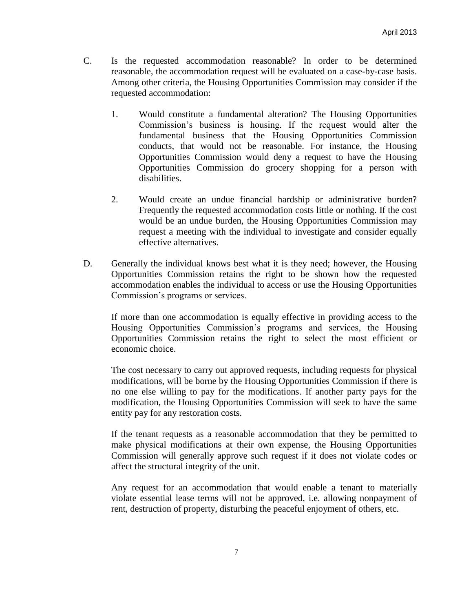- C. Is the requested accommodation reasonable? In order to be determined reasonable, the accommodation request will be evaluated on a case-by-case basis. Among other criteria, the Housing Opportunities Commission may consider if the requested accommodation:
	- 1. Would constitute a fundamental alteration? The Housing Opportunities Commission's business is housing. If the request would alter the fundamental business that the Housing Opportunities Commission conducts, that would not be reasonable. For instance, the Housing Opportunities Commission would deny a request to have the Housing Opportunities Commission do grocery shopping for a person with disabilities.
	- 2. Would create an undue financial hardship or administrative burden? Frequently the requested accommodation costs little or nothing. If the cost would be an undue burden, the Housing Opportunities Commission may request a meeting with the individual to investigate and consider equally effective alternatives.
- D. Generally the individual knows best what it is they need; however, the Housing Opportunities Commission retains the right to be shown how the requested accommodation enables the individual to access or use the Housing Opportunities Commission's programs or services.

If more than one accommodation is equally effective in providing access to the Housing Opportunities Commission's programs and services, the Housing Opportunities Commission retains the right to select the most efficient or economic choice.

The cost necessary to carry out approved requests, including requests for physical modifications, will be borne by the Housing Opportunities Commission if there is no one else willing to pay for the modifications. If another party pays for the modification, the Housing Opportunities Commission will seek to have the same entity pay for any restoration costs.

If the tenant requests as a reasonable accommodation that they be permitted to make physical modifications at their own expense, the Housing Opportunities Commission will generally approve such request if it does not violate codes or affect the structural integrity of the unit.

Any request for an accommodation that would enable a tenant to materially violate essential lease terms will not be approved, i.e. allowing nonpayment of rent, destruction of property, disturbing the peaceful enjoyment of others, etc.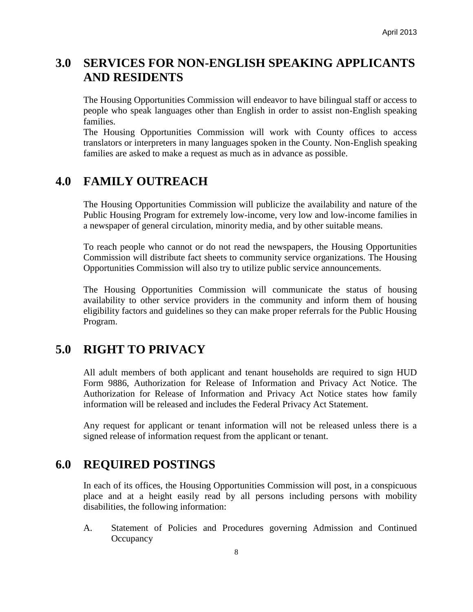# **3.0 SERVICES FOR NON-ENGLISH SPEAKING APPLICANTS AND RESIDENTS**

The Housing Opportunities Commission will endeavor to have bilingual staff or access to people who speak languages other than English in order to assist non-English speaking families.

The Housing Opportunities Commission will work with County offices to access translators or interpreters in many languages spoken in the County. Non-English speaking families are asked to make a request as much as in advance as possible.

# **4.0 FAMILY OUTREACH**

The Housing Opportunities Commission will publicize the availability and nature of the Public Housing Program for extremely low-income, very low and low-income families in a newspaper of general circulation, minority media, and by other suitable means.

To reach people who cannot or do not read the newspapers, the Housing Opportunities Commission will distribute fact sheets to community service organizations. The Housing Opportunities Commission will also try to utilize public service announcements.

The Housing Opportunities Commission will communicate the status of housing availability to other service providers in the community and inform them of housing eligibility factors and guidelines so they can make proper referrals for the Public Housing Program.

# **5.0 RIGHT TO PRIVACY**

All adult members of both applicant and tenant households are required to sign HUD Form 9886, Authorization for Release of Information and Privacy Act Notice. The Authorization for Release of Information and Privacy Act Notice states how family information will be released and includes the Federal Privacy Act Statement.

Any request for applicant or tenant information will not be released unless there is a signed release of information request from the applicant or tenant.

# **6.0 REQUIRED POSTINGS**

In each of its offices, the Housing Opportunities Commission will post, in a conspicuous place and at a height easily read by all persons including persons with mobility disabilities, the following information:

A. Statement of Policies and Procedures governing Admission and Continued **Occupancy**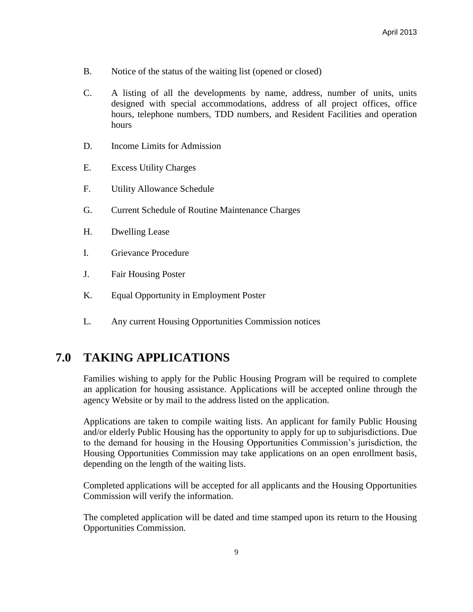- B. Notice of the status of the waiting list (opened or closed)
- C. A listing of all the developments by name, address, number of units, units designed with special accommodations, address of all project offices, office hours, telephone numbers, TDD numbers, and Resident Facilities and operation hours
- D. Income Limits for Admission
- E. Excess Utility Charges
- F. Utility Allowance Schedule
- G. Current Schedule of Routine Maintenance Charges
- H. Dwelling Lease
- I. Grievance Procedure
- J. Fair Housing Poster
- K. Equal Opportunity in Employment Poster
- L. Any current Housing Opportunities Commission notices

# **7.0 TAKING APPLICATIONS**

Families wishing to apply for the Public Housing Program will be required to complete an application for housing assistance. Applications will be accepted online through the agency Website or by mail to the address listed on the application.

Applications are taken to compile waiting lists. An applicant for family Public Housing and/or elderly Public Housing has the opportunity to apply for up to subjurisdictions. Due to the demand for housing in the Housing Opportunities Commission's jurisdiction, the Housing Opportunities Commission may take applications on an open enrollment basis, depending on the length of the waiting lists.

Completed applications will be accepted for all applicants and the Housing Opportunities Commission will verify the information.

The completed application will be dated and time stamped upon its return to the Housing Opportunities Commission.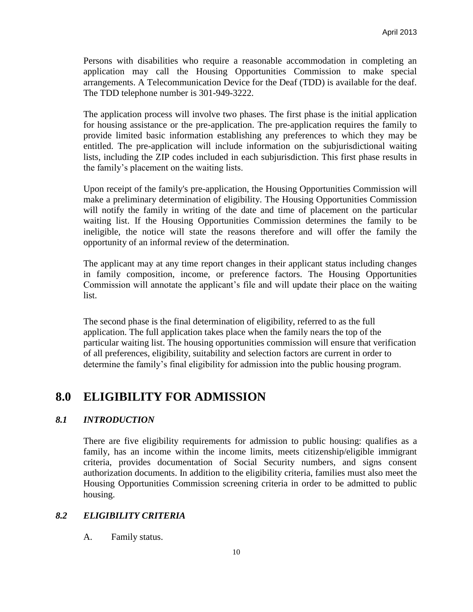Persons with disabilities who require a reasonable accommodation in completing an application may call the Housing Opportunities Commission to make special arrangements. A Telecommunication Device for the Deaf (TDD) is available for the deaf. The TDD telephone number is 301-949-3222.

The application process will involve two phases. The first phase is the initial application for housing assistance or the pre-application. The pre-application requires the family to provide limited basic information establishing any preferences to which they may be entitled. The pre-application will include information on the subjurisdictional waiting lists, including the ZIP codes included in each subjurisdiction. This first phase results in the family's placement on the waiting lists.

Upon receipt of the family's pre-application, the Housing Opportunities Commission will make a preliminary determination of eligibility. The Housing Opportunities Commission will notify the family in writing of the date and time of placement on the particular waiting list. If the Housing Opportunities Commission determines the family to be ineligible, the notice will state the reasons therefore and will offer the family the opportunity of an informal review of the determination.

The applicant may at any time report changes in their applicant status including changes in family composition, income, or preference factors. The Housing Opportunities Commission will annotate the applicant's file and will update their place on the waiting list.

The second phase is the final determination of eligibility, referred to as the full application. The full application takes place when the family nears the top of the particular waiting list. The housing opportunities commission will ensure that verification of all preferences, eligibility, suitability and selection factors are current in order to determine the family's final eligibility for admission into the public housing program.

# **8.0 ELIGIBILITY FOR ADMISSION**

## *8.1 INTRODUCTION*

There are five eligibility requirements for admission to public housing: qualifies as a family, has an income within the income limits, meets citizenship/eligible immigrant criteria, provides documentation of Social Security numbers, and signs consent authorization documents. In addition to the eligibility criteria, families must also meet the Housing Opportunities Commission screening criteria in order to be admitted to public housing.

### *8.2 ELIGIBILITY CRITERIA*

A. Family status.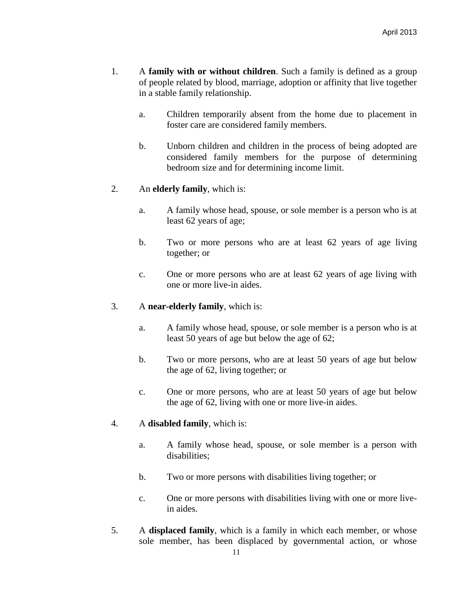- 1. A **family with or without children**. Such a family is defined as a group of people related by blood, marriage, adoption or affinity that live together in a stable family relationship.
	- a. Children temporarily absent from the home due to placement in foster care are considered family members.
	- b. Unborn children and children in the process of being adopted are considered family members for the purpose of determining bedroom size and for determining income limit.

### 2. An **elderly family**, which is:

- a. A family whose head, spouse, or sole member is a person who is at least 62 years of age;
- b. Two or more persons who are at least 62 years of age living together; or
- c. One or more persons who are at least 62 years of age living with one or more live-in aides.

#### 3. A **near-elderly family**, which is:

- a. A family whose head, spouse, or sole member is a person who is at least 50 years of age but below the age of 62;
- b. Two or more persons, who are at least 50 years of age but below the age of 62, living together; or
- c. One or more persons, who are at least 50 years of age but below the age of 62, living with one or more live-in aides.

#### 4. A **disabled family**, which is:

- a. A family whose head, spouse, or sole member is a person with disabilities;
- b. Two or more persons with disabilities living together; or
- c. One or more persons with disabilities living with one or more livein aides.
- 5. A **displaced family**, which is a family in which each member, or whose sole member, has been displaced by governmental action, or whose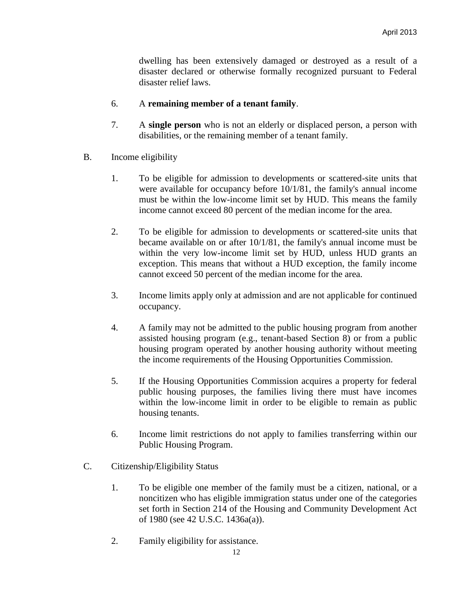dwelling has been extensively damaged or destroyed as a result of a disaster declared or otherwise formally recognized pursuant to Federal disaster relief laws.

### 6. A **remaining member of a tenant family**.

- 7. A **single person** who is not an elderly or displaced person, a person with disabilities, or the remaining member of a tenant family.
- B. Income eligibility
	- 1. To be eligible for admission to developments or scattered-site units that were available for occupancy before 10/1/81, the family's annual income must be within the low-income limit set by HUD. This means the family income cannot exceed 80 percent of the median income for the area.
	- 2. To be eligible for admission to developments or scattered-site units that became available on or after 10/1/81, the family's annual income must be within the very low-income limit set by HUD, unless HUD grants an exception. This means that without a HUD exception, the family income cannot exceed 50 percent of the median income for the area.
	- 3. Income limits apply only at admission and are not applicable for continued occupancy.
	- 4. A family may not be admitted to the public housing program from another assisted housing program (e.g., tenant-based Section 8) or from a public housing program operated by another housing authority without meeting the income requirements of the Housing Opportunities Commission.
	- 5. If the Housing Opportunities Commission acquires a property for federal public housing purposes, the families living there must have incomes within the low-income limit in order to be eligible to remain as public housing tenants.
	- 6. Income limit restrictions do not apply to families transferring within our Public Housing Program.
- C. Citizenship/Eligibility Status
	- 1. To be eligible one member of the family must be a citizen, national, or a noncitizen who has eligible immigration status under one of the categories set forth in Section 214 of the Housing and Community Development Act of 1980 (see 42 U.S.C. 1436a(a)).
	- 2. Family eligibility for assistance.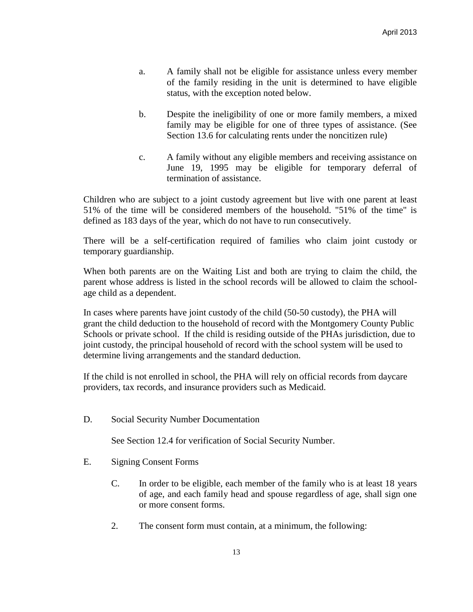- a. A family shall not be eligible for assistance unless every member of the family residing in the unit is determined to have eligible status, with the exception noted below.
- b. Despite the ineligibility of one or more family members, a mixed family may be eligible for one of three types of assistance. (See Section 13.6 for calculating rents under the noncitizen rule)
- c. A family without any eligible members and receiving assistance on June 19, 1995 may be eligible for temporary deferral of termination of assistance.

Children who are subject to a joint custody agreement but live with one parent at least 51% of the time will be considered members of the household. "51% of the time" is defined as 183 days of the year, which do not have to run consecutively.

There will be a self-certification required of families who claim joint custody or temporary guardianship.

When both parents are on the Waiting List and both are trying to claim the child, the parent whose address is listed in the school records will be allowed to claim the schoolage child as a dependent.

In cases where parents have joint custody of the child (50-50 custody), the PHA will grant the child deduction to the household of record with the Montgomery County Public Schools or private school. If the child is residing outside of the PHAs jurisdiction, due to joint custody, the principal household of record with the school system will be used to determine living arrangements and the standard deduction.

If the child is not enrolled in school, the PHA will rely on official records from daycare providers, tax records, and insurance providers such as Medicaid.

D. Social Security Number Documentation

See Section 12.4 for verification of Social Security Number.

- E. Signing Consent Forms
	- C. In order to be eligible, each member of the family who is at least 18 years of age, and each family head and spouse regardless of age, shall sign one or more consent forms.
	- 2. The consent form must contain, at a minimum, the following: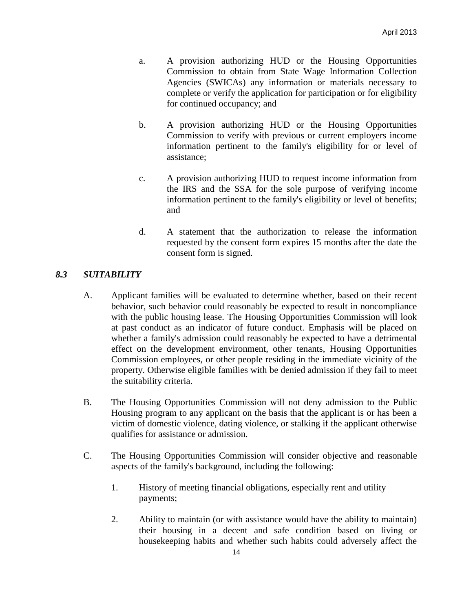- a. A provision authorizing HUD or the Housing Opportunities Commission to obtain from State Wage Information Collection Agencies (SWICAs) any information or materials necessary to complete or verify the application for participation or for eligibility for continued occupancy; and
- b. A provision authorizing HUD or the Housing Opportunities Commission to verify with previous or current employers income information pertinent to the family's eligibility for or level of assistance;
- c. A provision authorizing HUD to request income information from the IRS and the SSA for the sole purpose of verifying income information pertinent to the family's eligibility or level of benefits; and
- d. A statement that the authorization to release the information requested by the consent form expires 15 months after the date the consent form is signed.

## *8.3 SUITABILITY*

- A. Applicant families will be evaluated to determine whether, based on their recent behavior, such behavior could reasonably be expected to result in noncompliance with the public housing lease. The Housing Opportunities Commission will look at past conduct as an indicator of future conduct. Emphasis will be placed on whether a family's admission could reasonably be expected to have a detrimental effect on the development environment, other tenants, Housing Opportunities Commission employees, or other people residing in the immediate vicinity of the property. Otherwise eligible families with be denied admission if they fail to meet the suitability criteria.
- B. The Housing Opportunities Commission will not deny admission to the Public Housing program to any applicant on the basis that the applicant is or has been a victim of domestic violence, dating violence, or stalking if the applicant otherwise qualifies for assistance or admission.
- C. The Housing Opportunities Commission will consider objective and reasonable aspects of the family's background, including the following:
	- 1. History of meeting financial obligations, especially rent and utility payments;
	- 2. Ability to maintain (or with assistance would have the ability to maintain) their housing in a decent and safe condition based on living or housekeeping habits and whether such habits could adversely affect the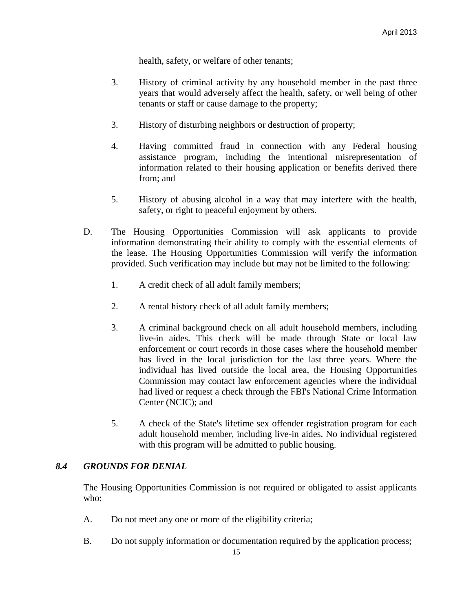health, safety, or welfare of other tenants;

- 3. History of criminal activity by any household member in the past three years that would adversely affect the health, safety, or well being of other tenants or staff or cause damage to the property;
- 3. History of disturbing neighbors or destruction of property;
- 4. Having committed fraud in connection with any Federal housing assistance program, including the intentional misrepresentation of information related to their housing application or benefits derived there from; and
- 5. History of abusing alcohol in a way that may interfere with the health, safety, or right to peaceful enjoyment by others.
- D. The Housing Opportunities Commission will ask applicants to provide information demonstrating their ability to comply with the essential elements of the lease. The Housing Opportunities Commission will verify the information provided. Such verification may include but may not be limited to the following:
	- 1. A credit check of all adult family members;
	- 2. A rental history check of all adult family members;
	- 3. A criminal background check on all adult household members, including live-in aides. This check will be made through State or local law enforcement or court records in those cases where the household member has lived in the local jurisdiction for the last three years. Where the individual has lived outside the local area, the Housing Opportunities Commission may contact law enforcement agencies where the individual had lived or request a check through the FBI's National Crime Information Center (NCIC); and
	- 5. A check of the State's lifetime sex offender registration program for each adult household member, including live-in aides. No individual registered with this program will be admitted to public housing.

#### *8.4 GROUNDS FOR DENIAL*

The Housing Opportunities Commission is not required or obligated to assist applicants who:

- A. Do not meet any one or more of the eligibility criteria;
- B. Do not supply information or documentation required by the application process;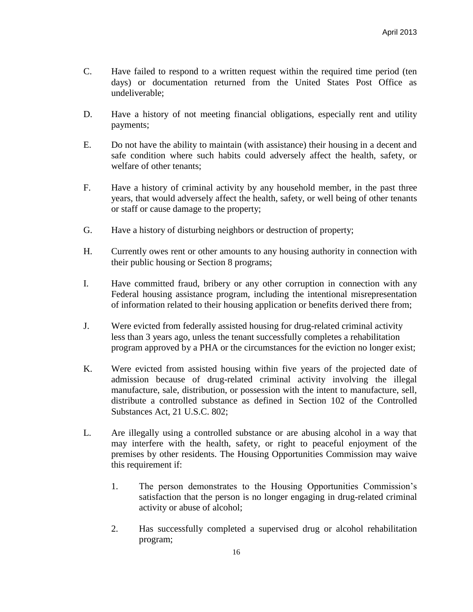- C. Have failed to respond to a written request within the required time period (ten days) or documentation returned from the United States Post Office as undeliverable;
- D. Have a history of not meeting financial obligations, especially rent and utility payments;
- E. Do not have the ability to maintain (with assistance) their housing in a decent and safe condition where such habits could adversely affect the health, safety, or welfare of other tenants;
- F. Have a history of criminal activity by any household member, in the past three years, that would adversely affect the health, safety, or well being of other tenants or staff or cause damage to the property;
- G. Have a history of disturbing neighbors or destruction of property;
- H. Currently owes rent or other amounts to any housing authority in connection with their public housing or Section 8 programs;
- I. Have committed fraud, bribery or any other corruption in connection with any Federal housing assistance program, including the intentional misrepresentation of information related to their housing application or benefits derived there from;
- J. Were evicted from federally assisted housing for drug-related criminal activity less than 3 years ago, unless the tenant successfully completes a rehabilitation program approved by a PHA or the circumstances for the eviction no longer exist;
- K. Were evicted from assisted housing within five years of the projected date of admission because of drug-related criminal activity involving the illegal manufacture, sale, distribution, or possession with the intent to manufacture, sell, distribute a controlled substance as defined in Section 102 of the Controlled Substances Act, 21 U.S.C. 802;
- L. Are illegally using a controlled substance or are abusing alcohol in a way that may interfere with the health, safety, or right to peaceful enjoyment of the premises by other residents. The Housing Opportunities Commission may waive this requirement if:
	- 1. The person demonstrates to the Housing Opportunities Commission's satisfaction that the person is no longer engaging in drug-related criminal activity or abuse of alcohol;
	- 2. Has successfully completed a supervised drug or alcohol rehabilitation program;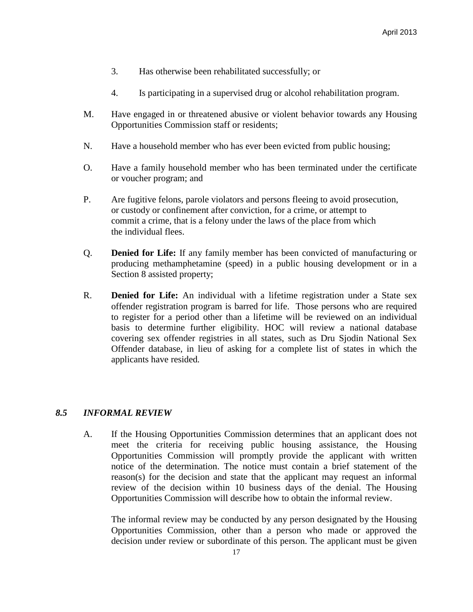- 3. Has otherwise been rehabilitated successfully; or
- 4. Is participating in a supervised drug or alcohol rehabilitation program.
- M. Have engaged in or threatened abusive or violent behavior towards any Housing Opportunities Commission staff or residents;
- N. Have a household member who has ever been evicted from public housing;
- O. Have a family household member who has been terminated under the certificate or voucher program; and
- P. Are fugitive felons, parole violators and persons fleeing to avoid prosecution, or custody or confinement after conviction, for a crime, or attempt to commit a crime, that is a felony under the laws of the place from which the individual flees.
- Q. **Denied for Life:** If any family member has been convicted of manufacturing or producing methamphetamine (speed) in a public housing development or in a Section 8 assisted property;
- R. **Denied for Life:** An individual with a lifetime registration under a State sex offender registration program is barred for life. Those persons who are required to register for a period other than a lifetime will be reviewed on an individual basis to determine further eligibility. HOC will review a national database covering sex offender registries in all states, such as Dru Sjodin National Sex Offender database, in lieu of asking for a complete list of states in which the applicants have resided*.*

#### *8.5 INFORMAL REVIEW*

A. If the Housing Opportunities Commission determines that an applicant does not meet the criteria for receiving public housing assistance, the Housing Opportunities Commission will promptly provide the applicant with written notice of the determination. The notice must contain a brief statement of the reason(s) for the decision and state that the applicant may request an informal review of the decision within 10 business days of the denial. The Housing Opportunities Commission will describe how to obtain the informal review.

The informal review may be conducted by any person designated by the Housing Opportunities Commission, other than a person who made or approved the decision under review or subordinate of this person. The applicant must be given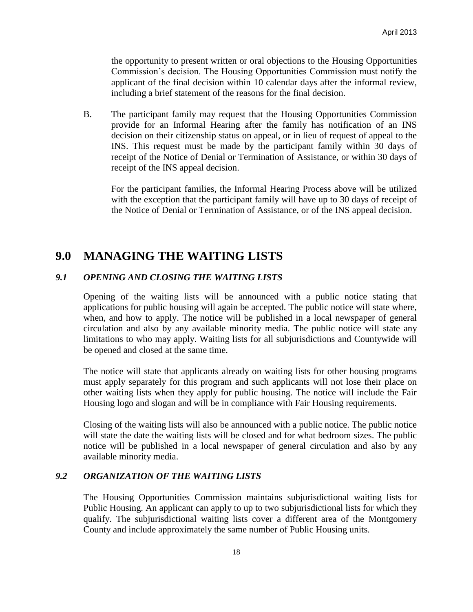the opportunity to present written or oral objections to the Housing Opportunities Commission's decision. The Housing Opportunities Commission must notify the applicant of the final decision within 10 calendar days after the informal review, including a brief statement of the reasons for the final decision.

B. The participant family may request that the Housing Opportunities Commission provide for an Informal Hearing after the family has notification of an INS decision on their citizenship status on appeal, or in lieu of request of appeal to the INS. This request must be made by the participant family within 30 days of receipt of the Notice of Denial or Termination of Assistance, or within 30 days of receipt of the INS appeal decision.

For the participant families, the Informal Hearing Process above will be utilized with the exception that the participant family will have up to 30 days of receipt of the Notice of Denial or Termination of Assistance, or of the INS appeal decision.

# **9.0 MANAGING THE WAITING LISTS**

### *9.1 OPENING AND CLOSING THE WAITING LISTS*

Opening of the waiting lists will be announced with a public notice stating that applications for public housing will again be accepted. The public notice will state where, when, and how to apply. The notice will be published in a local newspaper of general circulation and also by any available minority media. The public notice will state any limitations to who may apply. Waiting lists for all subjurisdictions and Countywide will be opened and closed at the same time.

The notice will state that applicants already on waiting lists for other housing programs must apply separately for this program and such applicants will not lose their place on other waiting lists when they apply for public housing. The notice will include the Fair Housing logo and slogan and will be in compliance with Fair Housing requirements.

Closing of the waiting lists will also be announced with a public notice. The public notice will state the date the waiting lists will be closed and for what bedroom sizes. The public notice will be published in a local newspaper of general circulation and also by any available minority media.

### *9.2 ORGANIZATION OF THE WAITING LISTS*

The Housing Opportunities Commission maintains subjurisdictional waiting lists for Public Housing. An applicant can apply to up to two subjurisdictional lists for which they qualify. The subjurisdictional waiting lists cover a different area of the Montgomery County and include approximately the same number of Public Housing units.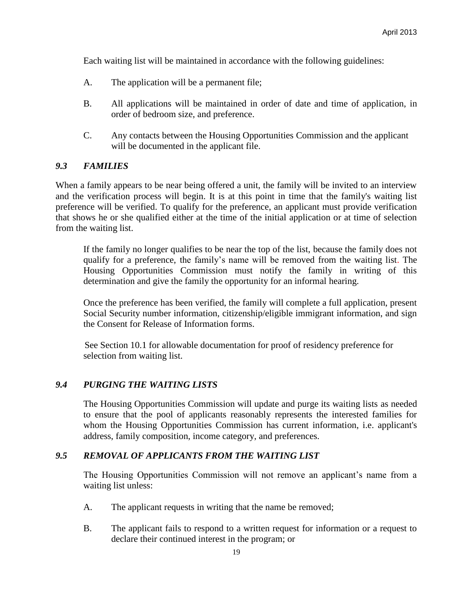Each waiting list will be maintained in accordance with the following guidelines:

- A. The application will be a permanent file;
- B. All applications will be maintained in order of date and time of application, in order of bedroom size, and preference.
- C. Any contacts between the Housing Opportunities Commission and the applicant will be documented in the applicant file.

### *9.3 FAMILIES*

When a family appears to be near being offered a unit, the family will be invited to an interview and the verification process will begin. It is at this point in time that the family's waiting list preference will be verified. To qualify for the preference, an applicant must provide verification that shows he or she qualified either at the time of the initial application or at time of selection from the waiting list.

If the family no longer qualifies to be near the top of the list, because the family does not qualify for a preference, the family's name will be removed from the waiting list. The Housing Opportunities Commission must notify the family in writing of this determination and give the family the opportunity for an informal hearing.

Once the preference has been verified, the family will complete a full application, present Social Security number information, citizenship/eligible immigrant information, and sign the Consent for Release of Information forms.

See Section 10.1 for allowable documentation for proof of residency preference for selection from waiting list.

### *9.4 PURGING THE WAITING LISTS*

The Housing Opportunities Commission will update and purge its waiting lists as needed to ensure that the pool of applicants reasonably represents the interested families for whom the Housing Opportunities Commission has current information, i.e. applicant's address, family composition, income category, and preferences.

#### *9.5 REMOVAL OF APPLICANTS FROM THE WAITING LIST*

The Housing Opportunities Commission will not remove an applicant's name from a waiting list unless:

- A. The applicant requests in writing that the name be removed;
- B. The applicant fails to respond to a written request for information or a request to declare their continued interest in the program; or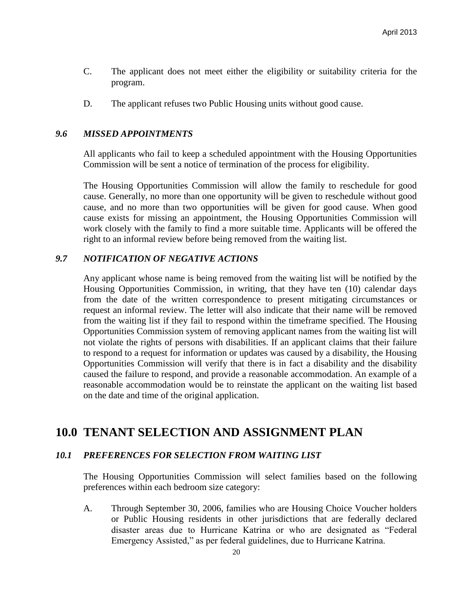- C. The applicant does not meet either the eligibility or suitability criteria for the program.
- D. The applicant refuses two Public Housing units without good cause.

#### *9.6 MISSED APPOINTMENTS*

All applicants who fail to keep a scheduled appointment with the Housing Opportunities Commission will be sent a notice of termination of the process for eligibility.

The Housing Opportunities Commission will allow the family to reschedule for good cause. Generally, no more than one opportunity will be given to reschedule without good cause, and no more than two opportunities will be given for good cause. When good cause exists for missing an appointment, the Housing Opportunities Commission will work closely with the family to find a more suitable time. Applicants will be offered the right to an informal review before being removed from the waiting list.

#### *9.7 NOTIFICATION OF NEGATIVE ACTIONS*

Any applicant whose name is being removed from the waiting list will be notified by the Housing Opportunities Commission, in writing, that they have ten (10) calendar days from the date of the written correspondence to present mitigating circumstances or request an informal review. The letter will also indicate that their name will be removed from the waiting list if they fail to respond within the timeframe specified. The Housing Opportunities Commission system of removing applicant names from the waiting list will not violate the rights of persons with disabilities. If an applicant claims that their failure to respond to a request for information or updates was caused by a disability, the Housing Opportunities Commission will verify that there is in fact a disability and the disability caused the failure to respond, and provide a reasonable accommodation. An example of a reasonable accommodation would be to reinstate the applicant on the waiting list based on the date and time of the original application.

# **10.0 TENANT SELECTION AND ASSIGNMENT PLAN**

#### *10.1 PREFERENCES FOR SELECTION FROM WAITING LIST*

The Housing Opportunities Commission will select families based on the following preferences within each bedroom size category:

A. Through September 30, 2006, families who are Housing Choice Voucher holders or Public Housing residents in other jurisdictions that are federally declared disaster areas due to Hurricane Katrina or who are designated as "Federal Emergency Assisted," as per federal guidelines, due to Hurricane Katrina.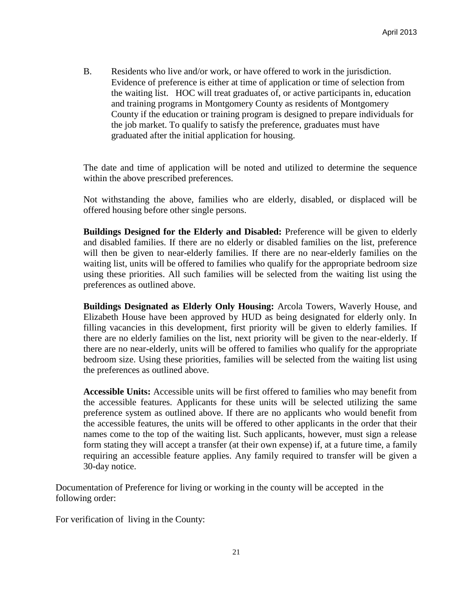B. Residents who live and/or work, or have offered to work in the jurisdiction. Evidence of preference is either at time of application or time of selection from the waiting list. HOC will treat graduates of, or active participants in, education and training programs in Montgomery County as residents of Montgomery County if the education or training program is designed to prepare individuals for the job market. To qualify to satisfy the preference, graduates must have graduated after the initial application for housing.

The date and time of application will be noted and utilized to determine the sequence within the above prescribed preferences.

Not withstanding the above, families who are elderly, disabled, or displaced will be offered housing before other single persons.

**Buildings Designed for the Elderly and Disabled:** Preference will be given to elderly and disabled families. If there are no elderly or disabled families on the list, preference will then be given to near-elderly families. If there are no near-elderly families on the waiting list, units will be offered to families who qualify for the appropriate bedroom size using these priorities. All such families will be selected from the waiting list using the preferences as outlined above.

**Buildings Designated as Elderly Only Housing:** Arcola Towers, Waverly House, and Elizabeth House have been approved by HUD as being designated for elderly only. In filling vacancies in this development, first priority will be given to elderly families. If there are no elderly families on the list, next priority will be given to the near-elderly. If there are no near-elderly, units will be offered to families who qualify for the appropriate bedroom size. Using these priorities, families will be selected from the waiting list using the preferences as outlined above.

**Accessible Units:** Accessible units will be first offered to families who may benefit from the accessible features. Applicants for these units will be selected utilizing the same preference system as outlined above. If there are no applicants who would benefit from the accessible features, the units will be offered to other applicants in the order that their names come to the top of the waiting list. Such applicants, however, must sign a release form stating they will accept a transfer (at their own expense) if, at a future time, a family requiring an accessible feature applies. Any family required to transfer will be given a 30-day notice.

Documentation of Preference for living or working in the county will be accepted in the following order:

For verification of living in the County: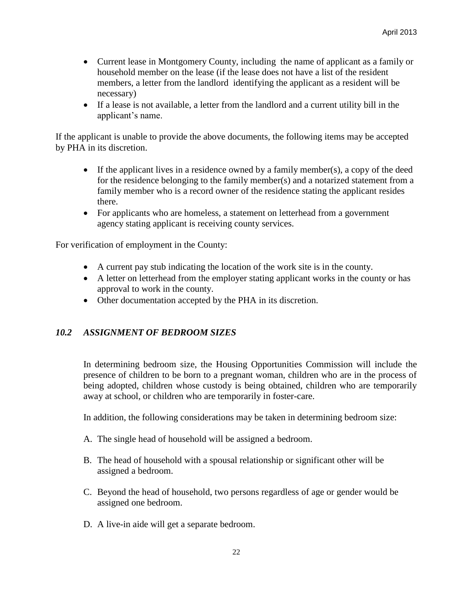- Current lease in Montgomery County, including the name of applicant as a family or household member on the lease (if the lease does not have a list of the resident members, a letter from the landlord identifying the applicant as a resident will be necessary)
- If a lease is not available, a letter from the landlord and a current utility bill in the applicant's name.

If the applicant is unable to provide the above documents, the following items may be accepted by PHA in its discretion.

- If the applicant lives in a residence owned by a family member(s), a copy of the deed for the residence belonging to the family member(s) and a notarized statement from a family member who is a record owner of the residence stating the applicant resides there.
- For applicants who are homeless, a statement on letterhead from a government agency stating applicant is receiving county services.

For verification of employment in the County:

- A current pay stub indicating the location of the work site is in the county.
- A letter on letterhead from the employer stating applicant works in the county or has approval to work in the county.
- Other documentation accepted by the PHA in its discretion.

#### *10.2 ASSIGNMENT OF BEDROOM SIZES*

In determining bedroom size, the Housing Opportunities Commission will include the presence of children to be born to a pregnant woman, children who are in the process of being adopted, children whose custody is being obtained, children who are temporarily away at school, or children who are temporarily in foster-care.

In addition, the following considerations may be taken in determining bedroom size:

- A. The single head of household will be assigned a bedroom.
- B. The head of household with a spousal relationship or significant other will be assigned a bedroom.
- C. Beyond the head of household, two persons regardless of age or gender would be assigned one bedroom.
- D. A live-in aide will get a separate bedroom.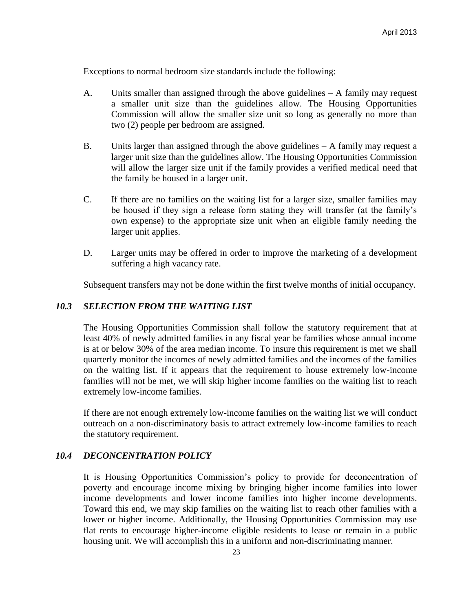Exceptions to normal bedroom size standards include the following:

- A. Units smaller than assigned through the above guidelines A family may request a smaller unit size than the guidelines allow. The Housing Opportunities Commission will allow the smaller size unit so long as generally no more than two (2) people per bedroom are assigned.
- B. Units larger than assigned through the above guidelines A family may request a larger unit size than the guidelines allow. The Housing Opportunities Commission will allow the larger size unit if the family provides a verified medical need that the family be housed in a larger unit.
- C. If there are no families on the waiting list for a larger size, smaller families may be housed if they sign a release form stating they will transfer (at the family's own expense) to the appropriate size unit when an eligible family needing the larger unit applies.
- D. Larger units may be offered in order to improve the marketing of a development suffering a high vacancy rate.

Subsequent transfers may not be done within the first twelve months of initial occupancy.

#### *10.3 SELECTION FROM THE WAITING LIST*

The Housing Opportunities Commission shall follow the statutory requirement that at least 40% of newly admitted families in any fiscal year be families whose annual income is at or below 30% of the area median income. To insure this requirement is met we shall quarterly monitor the incomes of newly admitted families and the incomes of the families on the waiting list. If it appears that the requirement to house extremely low-income families will not be met, we will skip higher income families on the waiting list to reach extremely low-income families.

If there are not enough extremely low-income families on the waiting list we will conduct outreach on a non-discriminatory basis to attract extremely low-income families to reach the statutory requirement.

#### *10.4 DECONCENTRATION POLICY*

It is Housing Opportunities Commission's policy to provide for deconcentration of poverty and encourage income mixing by bringing higher income families into lower income developments and lower income families into higher income developments. Toward this end, we may skip families on the waiting list to reach other families with a lower or higher income. Additionally, the Housing Opportunities Commission may use flat rents to encourage higher-income eligible residents to lease or remain in a public housing unit. We will accomplish this in a uniform and non-discriminating manner.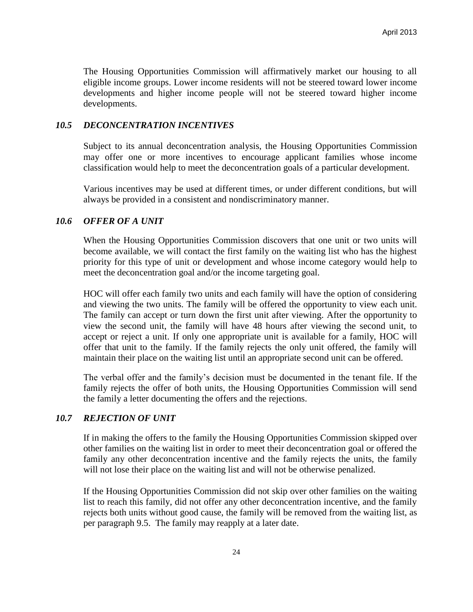The Housing Opportunities Commission will affirmatively market our housing to all eligible income groups. Lower income residents will not be steered toward lower income developments and higher income people will not be steered toward higher income developments.

#### *10.5 DECONCENTRATION INCENTIVES*

Subject to its annual deconcentration analysis, the Housing Opportunities Commission may offer one or more incentives to encourage applicant families whose income classification would help to meet the deconcentration goals of a particular development.

Various incentives may be used at different times, or under different conditions, but will always be provided in a consistent and nondiscriminatory manner.

#### *10.6 OFFER OF A UNIT*

When the Housing Opportunities Commission discovers that one unit or two units will become available, we will contact the first family on the waiting list who has the highest priority for this type of unit or development and whose income category would help to meet the deconcentration goal and/or the income targeting goal.

HOC will offer each family two units and each family will have the option of considering and viewing the two units. The family will be offered the opportunity to view each unit. The family can accept or turn down the first unit after viewing. After the opportunity to view the second unit, the family will have 48 hours after viewing the second unit, to accept or reject a unit. If only one appropriate unit is available for a family, HOC will offer that unit to the family. If the family rejects the only unit offered, the family will maintain their place on the waiting list until an appropriate second unit can be offered.

The verbal offer and the family's decision must be documented in the tenant file. If the family rejects the offer of both units, the Housing Opportunities Commission will send the family a letter documenting the offers and the rejections.

#### *10.7 REJECTION OF UNIT*

If in making the offers to the family the Housing Opportunities Commission skipped over other families on the waiting list in order to meet their deconcentration goal or offered the family any other deconcentration incentive and the family rejects the units, the family will not lose their place on the waiting list and will not be otherwise penalized.

If the Housing Opportunities Commission did not skip over other families on the waiting list to reach this family, did not offer any other deconcentration incentive, and the family rejects both units without good cause, the family will be removed from the waiting list, as per paragraph 9.5. The family may reapply at a later date.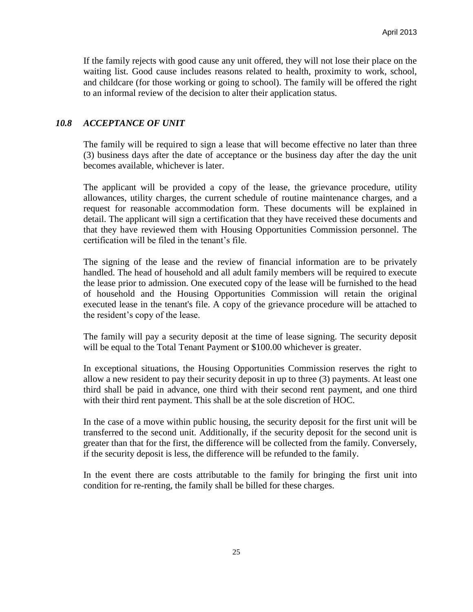If the family rejects with good cause any unit offered, they will not lose their place on the waiting list. Good cause includes reasons related to health, proximity to work, school, and childcare (for those working or going to school). The family will be offered the right to an informal review of the decision to alter their application status.

#### *10.8 ACCEPTANCE OF UNIT*

The family will be required to sign a lease that will become effective no later than three (3) business days after the date of acceptance or the business day after the day the unit becomes available, whichever is later.

The applicant will be provided a copy of the lease, the grievance procedure, utility allowances, utility charges, the current schedule of routine maintenance charges, and a request for reasonable accommodation form. These documents will be explained in detail. The applicant will sign a certification that they have received these documents and that they have reviewed them with Housing Opportunities Commission personnel. The certification will be filed in the tenant's file.

The signing of the lease and the review of financial information are to be privately handled. The head of household and all adult family members will be required to execute the lease prior to admission. One executed copy of the lease will be furnished to the head of household and the Housing Opportunities Commission will retain the original executed lease in the tenant's file. A copy of the grievance procedure will be attached to the resident's copy of the lease.

The family will pay a security deposit at the time of lease signing. The security deposit will be equal to the Total Tenant Payment or \$100.00 whichever is greater.

In exceptional situations, the Housing Opportunities Commission reserves the right to allow a new resident to pay their security deposit in up to three (3) payments. At least one third shall be paid in advance, one third with their second rent payment, and one third with their third rent payment. This shall be at the sole discretion of HOC.

In the case of a move within public housing, the security deposit for the first unit will be transferred to the second unit. Additionally, if the security deposit for the second unit is greater than that for the first, the difference will be collected from the family. Conversely, if the security deposit is less, the difference will be refunded to the family.

In the event there are costs attributable to the family for bringing the first unit into condition for re-renting, the family shall be billed for these charges.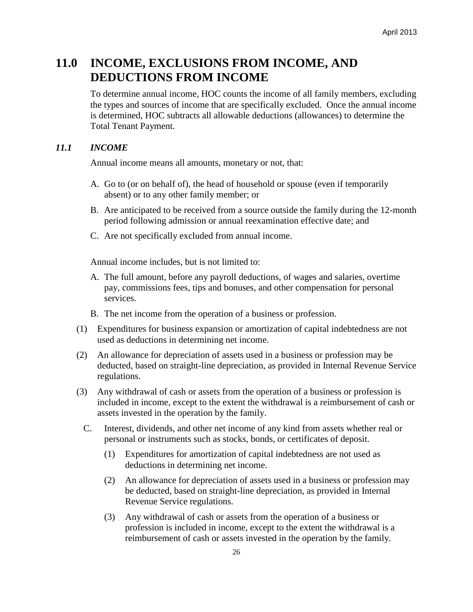# **11.0 INCOME, EXCLUSIONS FROM INCOME, AND DEDUCTIONS FROM INCOME**

To determine annual income, HOC counts the income of all family members, excluding the types and sources of income that are specifically excluded. Once the annual income is determined, HOC subtracts all allowable deductions (allowances) to determine the Total Tenant Payment.

#### *11.1 INCOME*

Annual income means all amounts, monetary or not, that:

- A. Go to (or on behalf of), the head of household or spouse (even if temporarily absent) or to any other family member; or
- B. Are anticipated to be received from a source outside the family during the 12-month period following admission or annual reexamination effective date; and
- C. Are not specifically excluded from annual income.

Annual income includes, but is not limited to:

- A. The full amount, before any payroll deductions, of wages and salaries, overtime pay, commissions fees, tips and bonuses, and other compensation for personal services.
- B. The net income from the operation of a business or profession.
- (1) Expenditures for business expansion or amortization of capital indebtedness are not used as deductions in determining net income.
- (2) An allowance for depreciation of assets used in a business or profession may be deducted, based on straight-line depreciation, as provided in Internal Revenue Service regulations.
- (3) Any withdrawal of cash or assets from the operation of a business or profession is included in income, except to the extent the withdrawal is a reimbursement of cash or assets invested in the operation by the family.
	- C. Interest, dividends, and other net income of any kind from assets whether real or personal or instruments such as stocks, bonds, or certificates of deposit.
		- (1) Expenditures for amortization of capital indebtedness are not used as deductions in determining net income.
		- (2) An allowance for depreciation of assets used in a business or profession may be deducted, based on straight-line depreciation, as provided in Internal Revenue Service regulations.
		- (3) Any withdrawal of cash or assets from the operation of a business or profession is included in income, except to the extent the withdrawal is a reimbursement of cash or assets invested in the operation by the family.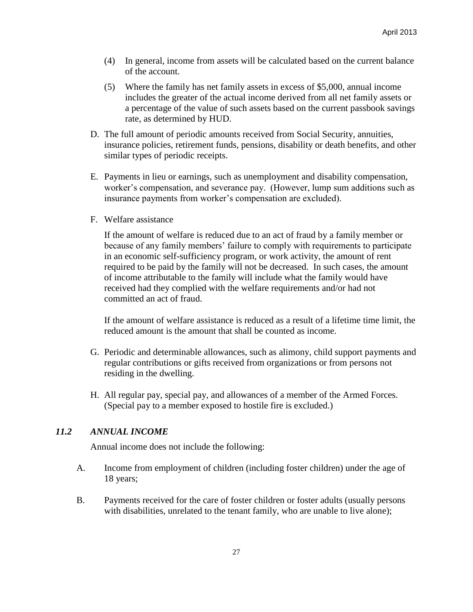- (4) In general, income from assets will be calculated based on the current balance of the account.
- (5) Where the family has net family assets in excess of \$5,000, annual income includes the greater of the actual income derived from all net family assets or a percentage of the value of such assets based on the current passbook savings rate, as determined by HUD.
- D. The full amount of periodic amounts received from Social Security, annuities, insurance policies, retirement funds, pensions, disability or death benefits, and other similar types of periodic receipts.
- E. Payments in lieu or earnings, such as unemployment and disability compensation, worker's compensation, and severance pay. (However, lump sum additions such as insurance payments from worker's compensation are excluded).
- F. Welfare assistance

If the amount of welfare is reduced due to an act of fraud by a family member or because of any family members' failure to comply with requirements to participate in an economic self-sufficiency program, or work activity, the amount of rent required to be paid by the family will not be decreased. In such cases, the amount of income attributable to the family will include what the family would have received had they complied with the welfare requirements and/or had not committed an act of fraud.

If the amount of welfare assistance is reduced as a result of a lifetime time limit, the reduced amount is the amount that shall be counted as income.

- G. Periodic and determinable allowances, such as alimony, child support payments and regular contributions or gifts received from organizations or from persons not residing in the dwelling.
- H. All regular pay, special pay, and allowances of a member of the Armed Forces. (Special pay to a member exposed to hostile fire is excluded.)

#### *11.2 ANNUAL INCOME*

Annual income does not include the following:

- A. Income from employment of children (including foster children) under the age of 18 years;
- B. Payments received for the care of foster children or foster adults (usually persons with disabilities, unrelated to the tenant family, who are unable to live alone);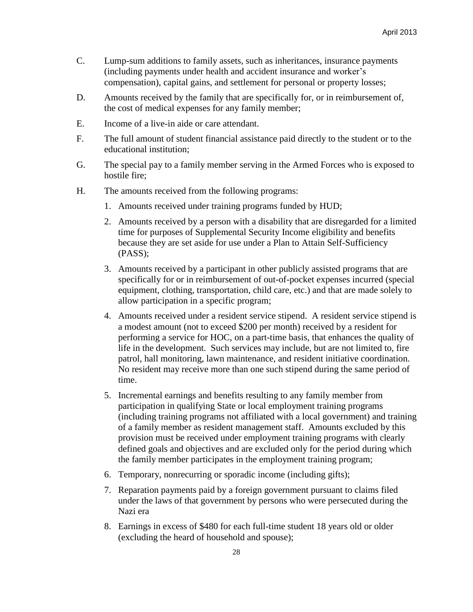- C. Lump-sum additions to family assets, such as inheritances, insurance payments (including payments under health and accident insurance and worker's compensation), capital gains, and settlement for personal or property losses;
- D. Amounts received by the family that are specifically for, or in reimbursement of, the cost of medical expenses for any family member;
- E. Income of a live-in aide or care attendant.
- F. The full amount of student financial assistance paid directly to the student or to the educational institution;
- G. The special pay to a family member serving in the Armed Forces who is exposed to hostile fire;
- H. The amounts received from the following programs:
	- 1. Amounts received under training programs funded by HUD;
	- 2. Amounts received by a person with a disability that are disregarded for a limited time for purposes of Supplemental Security Income eligibility and benefits because they are set aside for use under a Plan to Attain Self-Sufficiency (PASS);
	- 3. Amounts received by a participant in other publicly assisted programs that are specifically for or in reimbursement of out-of-pocket expenses incurred (special equipment, clothing, transportation, child care, etc.) and that are made solely to allow participation in a specific program;
	- 4. Amounts received under a resident service stipend. A resident service stipend is a modest amount (not to exceed \$200 per month) received by a resident for performing a service for HOC, on a part-time basis, that enhances the quality of life in the development. Such services may include, but are not limited to, fire patrol, hall monitoring, lawn maintenance, and resident initiative coordination. No resident may receive more than one such stipend during the same period of time.
	- 5. Incremental earnings and benefits resulting to any family member from participation in qualifying State or local employment training programs (including training programs not affiliated with a local government) and training of a family member as resident management staff. Amounts excluded by this provision must be received under employment training programs with clearly defined goals and objectives and are excluded only for the period during which the family member participates in the employment training program;
	- 6. Temporary, nonrecurring or sporadic income (including gifts);
	- 7. Reparation payments paid by a foreign government pursuant to claims filed under the laws of that government by persons who were persecuted during the Nazi era
	- 8. Earnings in excess of \$480 for each full-time student 18 years old or older (excluding the heard of household and spouse);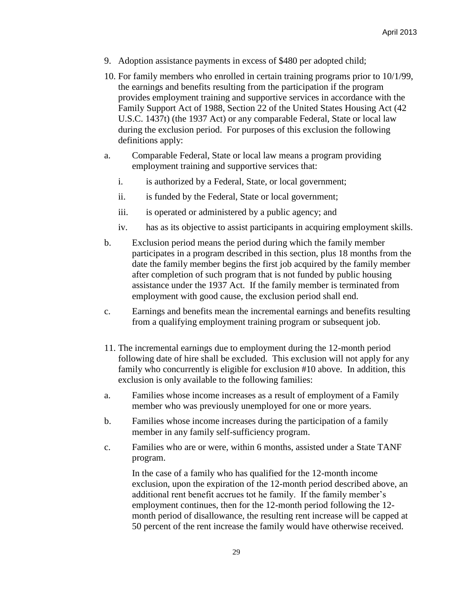- 9. Adoption assistance payments in excess of \$480 per adopted child;
- 10. For family members who enrolled in certain training programs prior to 10/1/99, the earnings and benefits resulting from the participation if the program provides employment training and supportive services in accordance with the Family Support Act of 1988, Section 22 of the United States Housing Act (42 U.S.C. 1437t) (the 1937 Act) or any comparable Federal, State or local law during the exclusion period. For purposes of this exclusion the following definitions apply:
- a. Comparable Federal, State or local law means a program providing employment training and supportive services that:
	- i. is authorized by a Federal, State, or local government;
	- ii. is funded by the Federal, State or local government;
	- iii. is operated or administered by a public agency; and
	- iv. has as its objective to assist participants in acquiring employment skills.
- b. Exclusion period means the period during which the family member participates in a program described in this section, plus 18 months from the date the family member begins the first job acquired by the family member after completion of such program that is not funded by public housing assistance under the 1937 Act. If the family member is terminated from employment with good cause, the exclusion period shall end.
- c. Earnings and benefits mean the incremental earnings and benefits resulting from a qualifying employment training program or subsequent job.
- 11. The incremental earnings due to employment during the 12-month period following date of hire shall be excluded. This exclusion will not apply for any family who concurrently is eligible for exclusion #10 above. In addition, this exclusion is only available to the following families:
- a. Families whose income increases as a result of employment of a Family member who was previously unemployed for one or more years.
- b. Families whose income increases during the participation of a family member in any family self-sufficiency program.
- c. Families who are or were, within 6 months, assisted under a State TANF program.

In the case of a family who has qualified for the 12-month income exclusion, upon the expiration of the 12-month period described above, an additional rent benefit accrues tot he family. If the family member's employment continues, then for the 12-month period following the 12 month period of disallowance, the resulting rent increase will be capped at 50 percent of the rent increase the family would have otherwise received.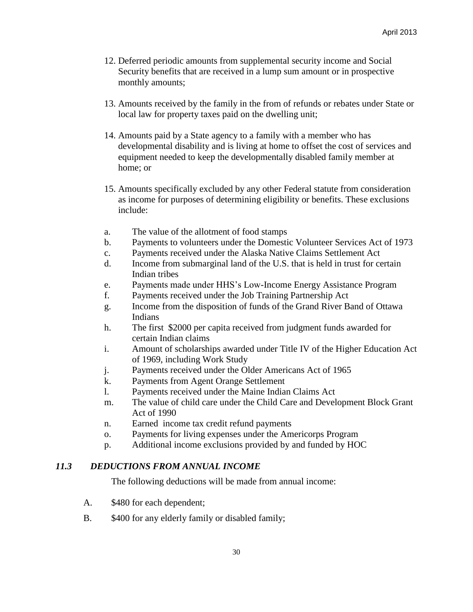- 12. Deferred periodic amounts from supplemental security income and Social Security benefits that are received in a lump sum amount or in prospective monthly amounts;
- 13. Amounts received by the family in the from of refunds or rebates under State or local law for property taxes paid on the dwelling unit;
- 14. Amounts paid by a State agency to a family with a member who has developmental disability and is living at home to offset the cost of services and equipment needed to keep the developmentally disabled family member at home; or
- 15. Amounts specifically excluded by any other Federal statute from consideration as income for purposes of determining eligibility or benefits. These exclusions include:
- a. The value of the allotment of food stamps
- b. Payments to volunteers under the Domestic Volunteer Services Act of 1973
- c. Payments received under the Alaska Native Claims Settlement Act
- d. Income from submarginal land of the U.S. that is held in trust for certain Indian tribes
- e. Payments made under HHS's Low-Income Energy Assistance Program
- f. Payments received under the Job Training Partnership Act
- g. Income from the disposition of funds of the Grand River Band of Ottawa Indians
- h. The first \$2000 per capita received from judgment funds awarded for certain Indian claims
- i. Amount of scholarships awarded under Title IV of the Higher Education Act of 1969, including Work Study
- j. Payments received under the Older Americans Act of 1965
- k. Payments from Agent Orange Settlement
- l. Payments received under the Maine Indian Claims Act
- m. The value of child care under the Child Care and Development Block Grant Act of 1990
- n. Earned income tax credit refund payments
- o. Payments for living expenses under the Americorps Program
- p. Additional income exclusions provided by and funded by HOC

### *11.3 DEDUCTIONS FROM ANNUAL INCOME*

The following deductions will be made from annual income:

- A. \$480 for each dependent;
- B. \$400 for any elderly family or disabled family;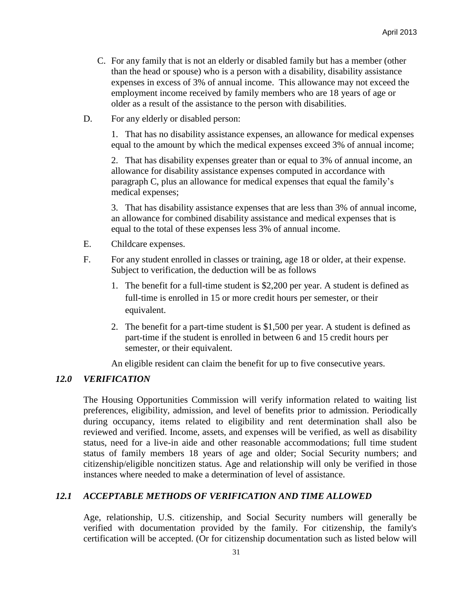- C. For any family that is not an elderly or disabled family but has a member (other than the head or spouse) who is a person with a disability, disability assistance expenses in excess of 3% of annual income. This allowance may not exceed the employment income received by family members who are 18 years of age or older as a result of the assistance to the person with disabilities.
- D. For any elderly or disabled person:

1. That has no disability assistance expenses, an allowance for medical expenses equal to the amount by which the medical expenses exceed 3% of annual income;

2. That has disability expenses greater than or equal to 3% of annual income, an allowance for disability assistance expenses computed in accordance with paragraph C, plus an allowance for medical expenses that equal the family's medical expenses;

3. That has disability assistance expenses that are less than 3% of annual income, an allowance for combined disability assistance and medical expenses that is equal to the total of these expenses less 3% of annual income.

- E. Childcare expenses.
- F. For any student enrolled in classes or training, age 18 or older, at their expense. Subject to verification, the deduction will be as follows
	- 1. The benefit for a full-time student is \$2,200 per year. A student is defined as full-time is enrolled in 15 or more credit hours per semester, or their equivalent.
	- 2. The benefit for a part-time student is \$1,500 per year. A student is defined as part-time if the student is enrolled in between 6 and 15 credit hours per semester, or their equivalent.

An eligible resident can claim the benefit for up to five consecutive years.

#### *12.0 VERIFICATION*

The Housing Opportunities Commission will verify information related to waiting list preferences, eligibility, admission, and level of benefits prior to admission. Periodically during occupancy, items related to eligibility and rent determination shall also be reviewed and verified. Income, assets, and expenses will be verified, as well as disability status, need for a live-in aide and other reasonable accommodations; full time student status of family members 18 years of age and older; Social Security numbers; and citizenship/eligible noncitizen status. Age and relationship will only be verified in those instances where needed to make a determination of level of assistance.

### *12.1 ACCEPTABLE METHODS OF VERIFICATION AND TIME ALLOWED*

Age, relationship, U.S. citizenship, and Social Security numbers will generally be verified with documentation provided by the family. For citizenship, the family's certification will be accepted. (Or for citizenship documentation such as listed below will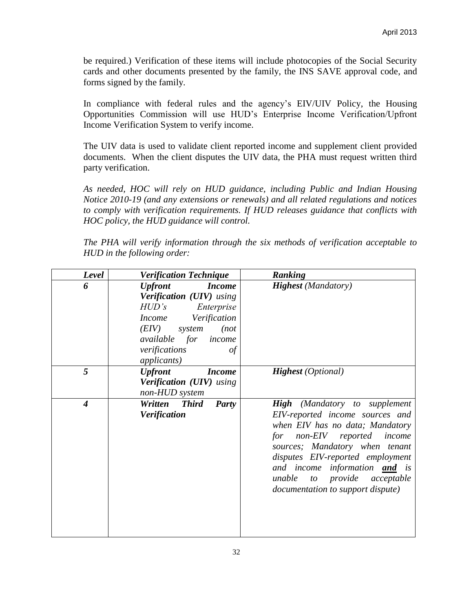be required.) Verification of these items will include photocopies of the Social Security cards and other documents presented by the family, the INS SAVE approval code, and forms signed by the family.

In compliance with federal rules and the agency's EIV/UIV Policy, the Housing Opportunities Commission will use HUD's Enterprise Income Verification/Upfront Income Verification System to verify income.

The UIV data is used to validate client reported income and supplement client provided documents. When the client disputes the UIV data, the PHA must request written third party verification.

*As needed, HOC will rely on HUD guidance, including Public and Indian Housing Notice 2010-19 (and any extensions or renewals) and all related regulations and notices to comply with verification requirements. If HUD releases guidance that conflicts with HOC policy, the HUD guidance will control.*

*The PHA will verify information through the six methods of verification acceptable to HUD in the following order:*

| Level                       | <b>Verification Technique</b>                                                                                                                                                                                                  | Ranking                                                                                                                                                                                                                                                                                                                         |
|-----------------------------|--------------------------------------------------------------------------------------------------------------------------------------------------------------------------------------------------------------------------------|---------------------------------------------------------------------------------------------------------------------------------------------------------------------------------------------------------------------------------------------------------------------------------------------------------------------------------|
| 6                           | <b>Upfront</b><br><i>Income</i><br>Verification (UIV) using<br>HUD's<br>Enterprise<br>Verification<br><i>Income</i><br>(EIV)<br>system<br>(not<br><i>available for</i><br>income<br>verifications<br>of<br><i>applicants</i> ) | <b>Highest</b> (Mandatory)                                                                                                                                                                                                                                                                                                      |
| 5                           | <b>Upfront</b><br><i>Income</i><br>Verification (UIV) using<br>non-HUD system                                                                                                                                                  | <b>Highest</b> (Optional)                                                                                                                                                                                                                                                                                                       |
| $\overline{\boldsymbol{4}}$ | Written Third<br>Party<br><b>Verification</b>                                                                                                                                                                                  | <b>High</b> (Mandatory to supplement<br>EIV-reported income sources and<br>when EIV has no data; Mandatory<br>for non-EIV reported income<br>sources; Mandatory when tenant<br>disputes EIV-reported employment<br>and income information and is<br>unable<br>to provide acceptable<br><i>documentation to support dispute)</i> |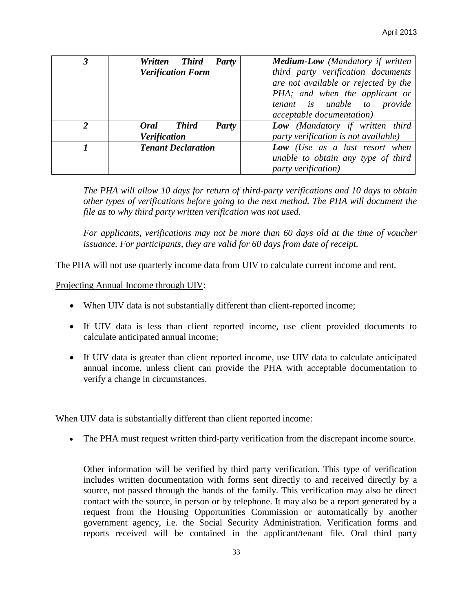|   | Written Third<br>Party<br><b>Verification Form</b>          | <b>Medium-Low</b> (Mandatory if written<br>third party verification documents<br>are not available or rejected by the<br>PHA; and when the applicant or<br>tenant is unable to provide<br><i>acceptable documentation</i> ) |
|---|-------------------------------------------------------------|-----------------------------------------------------------------------------------------------------------------------------------------------------------------------------------------------------------------------------|
| 2 | <b>Third</b><br><b>Oral</b><br>Party<br><b>Verification</b> | Low (Mandatory if written third<br>party verification is not available)                                                                                                                                                     |
|   | <b>Tenant Declaration</b>                                   | Low (Use as a last resort when<br>unable to obtain any type of third<br>party verification)                                                                                                                                 |

*The PHA will allow 10 days for return of third-party verifications and 10 days to obtain other types of verifications before going to the next method. The PHA will document the file as to why third party written verification was not used.*

*For applicants, verifications may not be more than 60 days old at the time of voucher issuance. For participants, they are valid for 60 days from date of receipt.*

The PHA will not use quarterly income data from UIV to calculate current income and rent.

Projecting Annual Income through UIV:

- When UIV data is not substantially different than client-reported income;
- If UIV data is less than client reported income, use client provided documents to calculate anticipated annual income;
- If UIV data is greater than client reported income, use UIV data to calculate anticipated annual income, unless client can provide the PHA with acceptable documentation to verify a change in circumstances.

When UIV data is substantially different than client reported income:

The PHA must request written third-party verification from the discrepant income source.

Other information will be verified by third party verification. This type of verification includes written documentation with forms sent directly to and received directly by a source, not passed through the hands of the family. This verification may also be direct contact with the source, in person or by telephone. It may also be a report generated by a request from the Housing Opportunities Commission or automatically by another government agency, i.e. the Social Security Administration. Verification forms and reports received will be contained in the applicant/tenant file. Oral third party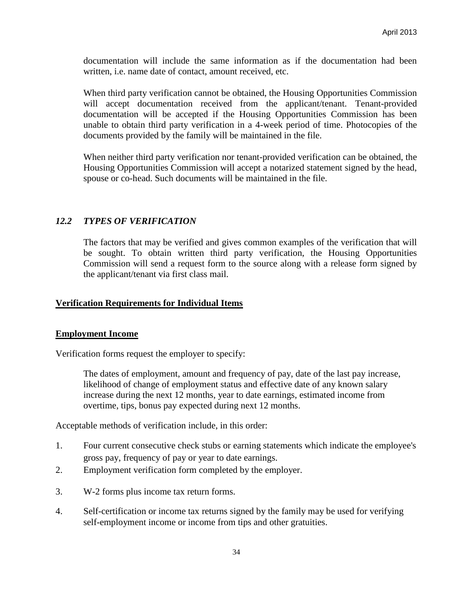documentation will include the same information as if the documentation had been written, i.e. name date of contact, amount received, etc.

When third party verification cannot be obtained, the Housing Opportunities Commission will accept documentation received from the applicant/tenant. Tenant-provided documentation will be accepted if the Housing Opportunities Commission has been unable to obtain third party verification in a 4-week period of time. Photocopies of the documents provided by the family will be maintained in the file.

When neither third party verification nor tenant-provided verification can be obtained, the Housing Opportunities Commission will accept a notarized statement signed by the head, spouse or co-head. Such documents will be maintained in the file.

#### *12.2 TYPES OF VERIFICATION*

The factors that may be verified and gives common examples of the verification that will be sought. To obtain written third party verification, the Housing Opportunities Commission will send a request form to the source along with a release form signed by the applicant/tenant via first class mail.

#### **Verification Requirements for Individual Items**

#### **Employment Income**

Verification forms request the employer to specify:

The dates of employment, amount and frequency of pay, date of the last pay increase, likelihood of change of employment status and effective date of any known salary increase during the next 12 months, year to date earnings, estimated income from overtime, tips, bonus pay expected during next 12 months.

Acceptable methods of verification include, in this order:

- 1. Four current consecutive check stubs or earning statements which indicate the employee's gross pay, frequency of pay or year to date earnings.
- 2. Employment verification form completed by the employer.
- 3. W-2 forms plus income tax return forms.
- 4. Self-certification or income tax returns signed by the family may be used for verifying self-employment income or income from tips and other gratuities.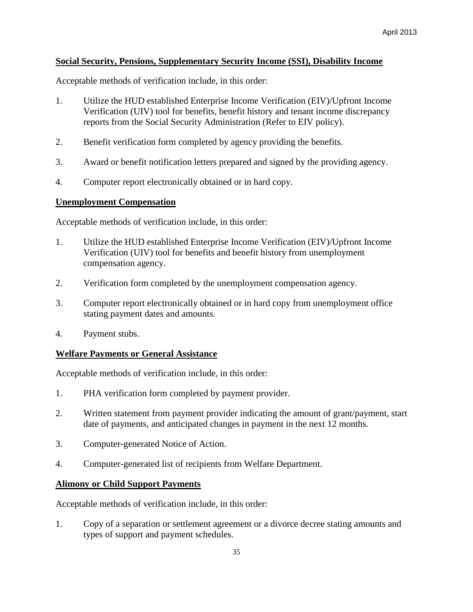### **Social Security, Pensions, Supplementary Security Income (SSI), Disability Income**

Acceptable methods of verification include, in this order:

- 1. Utilize the HUD established Enterprise Income Verification (EIV)/Upfront Income Verification (UIV) tool for benefits, benefit history and tenant income discrepancy reports from the Social Security Administration (Refer to EIV policy).
- 2. Benefit verification form completed by agency providing the benefits.
- 3. Award or benefit notification letters prepared and signed by the providing agency.
- 4. Computer report electronically obtained or in hard copy.

#### **Unemployment Compensation**

Acceptable methods of verification include, in this order:

- 1. Utilize the HUD established Enterprise Income Verification (EIV)/Upfront Income Verification (UIV) tool for benefits and benefit history from unemployment compensation agency.
- 2. Verification form completed by the unemployment compensation agency.
- 3. Computer report electronically obtained or in hard copy from unemployment office stating payment dates and amounts.
- 4. Payment stubs.

#### **Welfare Payments or General Assistance**

Acceptable methods of verification include, in this order:

- 1. PHA verification form completed by payment provider.
- 2. Written statement from payment provider indicating the amount of grant/payment, start date of payments, and anticipated changes in payment in the next 12 months.
- 3. Computer-generated Notice of Action.
- 4. Computer-generated list of recipients from Welfare Department.

#### **Alimony or Child Support Payments**

Acceptable methods of verification include, in this order:

1. Copy of a separation or settlement agreement or a divorce decree stating amounts and types of support and payment schedules.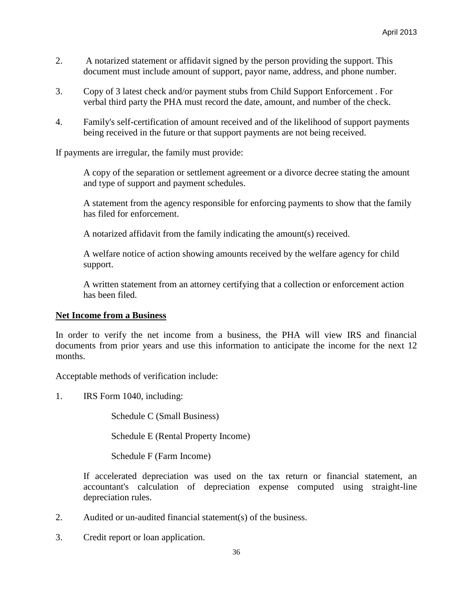- 2. A notarized statement or affidavit signed by the person providing the support. This document must include amount of support, payor name, address, and phone number.
- 3. Copy of 3 latest check and/or payment stubs from Child Support Enforcement . For verbal third party the PHA must record the date, amount, and number of the check.
- 4. Family's self-certification of amount received and of the likelihood of support payments being received in the future or that support payments are not being received.

If payments are irregular, the family must provide:

A copy of the separation or settlement agreement or a divorce decree stating the amount and type of support and payment schedules.

A statement from the agency responsible for enforcing payments to show that the family has filed for enforcement.

A notarized affidavit from the family indicating the amount(s) received.

A welfare notice of action showing amounts received by the welfare agency for child support.

A written statement from an attorney certifying that a collection or enforcement action has been filed.

#### **Net Income from a Business**

In order to verify the net income from a business, the PHA will view IRS and financial documents from prior years and use this information to anticipate the income for the next 12 months.

Acceptable methods of verification include:

1. IRS Form 1040, including:

Schedule C (Small Business)

Schedule E (Rental Property Income)

Schedule F (Farm Income)

If accelerated depreciation was used on the tax return or financial statement, an accountant's calculation of depreciation expense computed using straight-line depreciation rules.

- 2. Audited or un-audited financial statement(s) of the business.
- 3. Credit report or loan application.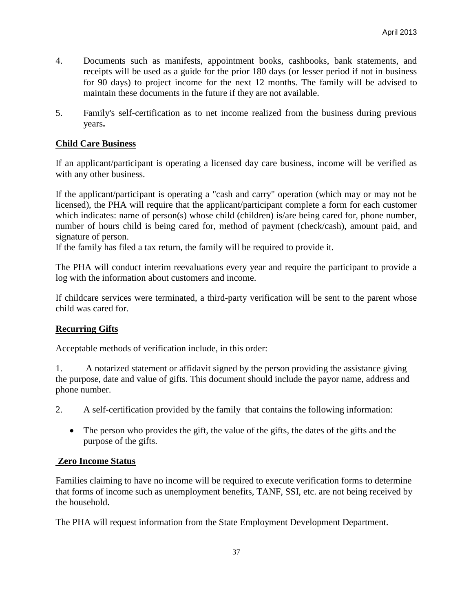- 4. Documents such as manifests, appointment books, cashbooks, bank statements, and receipts will be used as a guide for the prior 180 days (or lesser period if not in business for 90 days) to project income for the next 12 months. The family will be advised to maintain these documents in the future if they are not available.
- 5. Family's self-certification as to net income realized from the business during previous years**.**

# **Child Care Business**

If an applicant/participant is operating a licensed day care business, income will be verified as with any other business.

If the applicant/participant is operating a "cash and carry" operation (which may or may not be licensed), the PHA will require that the applicant/participant complete a form for each customer which indicates: name of person(s) whose child (children) is/are being cared for, phone number, number of hours child is being cared for, method of payment (check/cash), amount paid, and signature of person.

If the family has filed a tax return, the family will be required to provide it.

The PHA will conduct interim reevaluations every year and require the participant to provide a log with the information about customers and income.

If childcare services were terminated, a third-party verification will be sent to the parent whose child was cared for.

# **Recurring Gifts**

Acceptable methods of verification include, in this order:

1. A notarized statement or affidavit signed by the person providing the assistance giving the purpose, date and value of gifts. This document should include the payor name, address and phone number.

- 2. A self-certification provided by the family that contains the following information:
	- The person who provides the gift, the value of the gifts, the dates of the gifts and the purpose of the gifts.

## **Zero Income Status**

Families claiming to have no income will be required to execute verification forms to determine that forms of income such as unemployment benefits, TANF, SSI, etc. are not being received by the household.

The PHA will request information from the State Employment Development Department.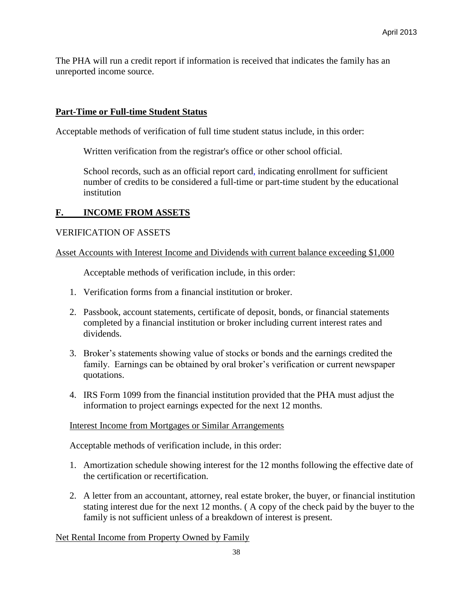The PHA will run a credit report if information is received that indicates the family has an unreported income source.

#### **Part-Time or Full-time Student Status**

Acceptable methods of verification of full time student status include, in this order:

Written verification from the registrar's office or other school official.

School records, such as an official report card, indicating enrollment for sufficient number of credits to be considered a full-time or part-time student by the educational institution

# **F. INCOME FROM ASSETS**

#### VERIFICATION OF ASSETS

#### Asset Accounts with Interest Income and Dividends with current balance exceeding \$1,000

Acceptable methods of verification include, in this order:

- 1. Verification forms from a financial institution or broker.
- 2. Passbook, account statements, certificate of deposit, bonds, or financial statements completed by a financial institution or broker including current interest rates and dividends.
- 3. Broker's statements showing value of stocks or bonds and the earnings credited the family. Earnings can be obtained by oral broker's verification or current newspaper quotations.
- 4. IRS Form 1099 from the financial institution provided that the PHA must adjust the information to project earnings expected for the next 12 months.

#### Interest Income from Mortgages or Similar Arrangements

Acceptable methods of verification include, in this order:

- 1. Amortization schedule showing interest for the 12 months following the effective date of the certification or recertification.
- 2. A letter from an accountant, attorney, real estate broker, the buyer, or financial institution stating interest due for the next 12 months. ( A copy of the check paid by the buyer to the family is not sufficient unless of a breakdown of interest is present.

#### Net Rental Income from Property Owned by Family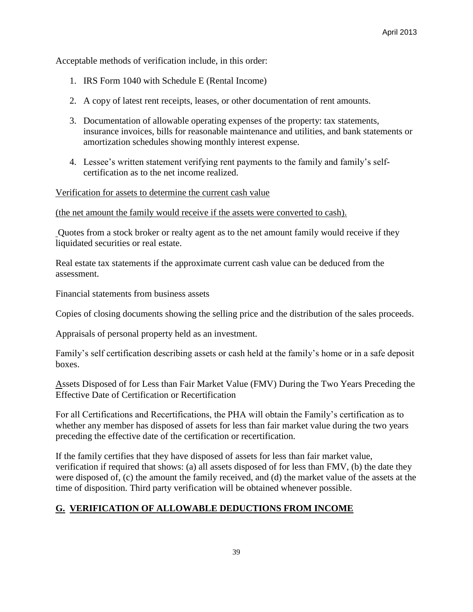Acceptable methods of verification include, in this order:

- 1. IRS Form 1040 with Schedule E (Rental Income)
- 2. A copy of latest rent receipts, leases, or other documentation of rent amounts.
- 3. Documentation of allowable operating expenses of the property: tax statements, insurance invoices, bills for reasonable maintenance and utilities, and bank statements or amortization schedules showing monthly interest expense.
- 4. Lessee's written statement verifying rent payments to the family and family's selfcertification as to the net income realized.

#### Verification for assets to determine the current cash value

#### (the net amount the family would receive if the assets were converted to cash).

Quotes from a stock broker or realty agent as to the net amount family would receive if they liquidated securities or real estate.

Real estate tax statements if the approximate current cash value can be deduced from the assessment.

Financial statements from business assets

Copies of closing documents showing the selling price and the distribution of the sales proceeds.

Appraisals of personal property held as an investment.

Family's self certification describing assets or cash held at the family's home or in a safe deposit boxes.

Assets Disposed of for Less than Fair Market Value (FMV) During the Two Years Preceding the Effective Date of Certification or Recertification

For all Certifications and Recertifications, the PHA will obtain the Family's certification as to whether any member has disposed of assets for less than fair market value during the two years preceding the effective date of the certification or recertification.

If the family certifies that they have disposed of assets for less than fair market value, verification if required that shows: (a) all assets disposed of for less than FMV, (b) the date they were disposed of, (c) the amount the family received, and (d) the market value of the assets at the time of disposition. Third party verification will be obtained whenever possible.

# **G. VERIFICATION OF ALLOWABLE DEDUCTIONS FROM INCOME**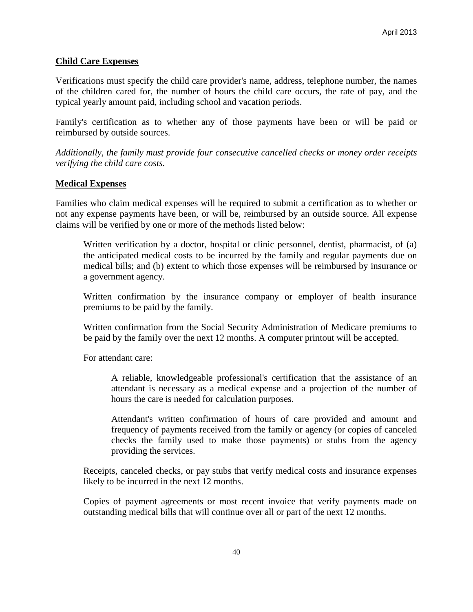## **Child Care Expenses**

Verifications must specify the child care provider's name, address, telephone number, the names of the children cared for, the number of hours the child care occurs, the rate of pay, and the typical yearly amount paid, including school and vacation periods.

Family's certification as to whether any of those payments have been or will be paid or reimbursed by outside sources.

*Additionally, the family must provide four consecutive cancelled checks or money order receipts verifying the child care costs.* 

## **Medical Expenses**

Families who claim medical expenses will be required to submit a certification as to whether or not any expense payments have been, or will be, reimbursed by an outside source. All expense claims will be verified by one or more of the methods listed below:

Written verification by a doctor, hospital or clinic personnel, dentist, pharmacist, of (a) the anticipated medical costs to be incurred by the family and regular payments due on medical bills; and (b) extent to which those expenses will be reimbursed by insurance or a government agency.

Written confirmation by the insurance company or employer of health insurance premiums to be paid by the family.

Written confirmation from the Social Security Administration of Medicare premiums to be paid by the family over the next 12 months. A computer printout will be accepted.

For attendant care:

A reliable, knowledgeable professional's certification that the assistance of an attendant is necessary as a medical expense and a projection of the number of hours the care is needed for calculation purposes.

Attendant's written confirmation of hours of care provided and amount and frequency of payments received from the family or agency (or copies of canceled checks the family used to make those payments) or stubs from the agency providing the services.

Receipts, canceled checks, or pay stubs that verify medical costs and insurance expenses likely to be incurred in the next 12 months.

Copies of payment agreements or most recent invoice that verify payments made on outstanding medical bills that will continue over all or part of the next 12 months.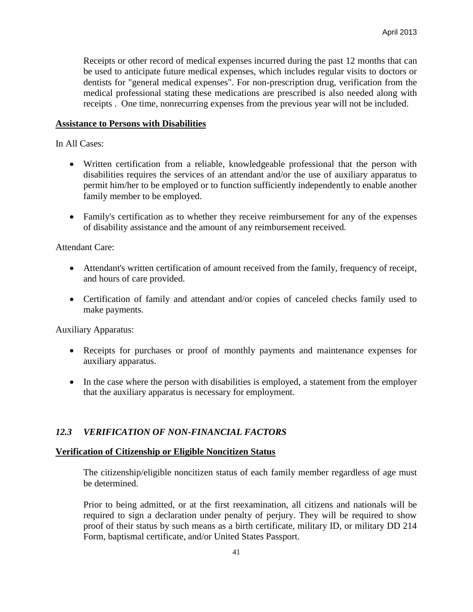Receipts or other record of medical expenses incurred during the past 12 months that can be used to anticipate future medical expenses, which includes regular visits to doctors or dentists for "general medical expenses". For non-prescription drug, verification from the medical professional stating these medications are prescribed is also needed along with receipts . One time, nonrecurring expenses from the previous year will not be included.

#### **Assistance to Persons with Disabilities**

#### In All Cases:

- Written certification from a reliable, knowledgeable professional that the person with disabilities requires the services of an attendant and/or the use of auxiliary apparatus to permit him/her to be employed or to function sufficiently independently to enable another family member to be employed.
- Family's certification as to whether they receive reimbursement for any of the expenses of disability assistance and the amount of any reimbursement received.

#### Attendant Care:

- Attendant's written certification of amount received from the family, frequency of receipt, and hours of care provided.
- Certification of family and attendant and/or copies of canceled checks family used to make payments.

Auxiliary Apparatus:

- Receipts for purchases or proof of monthly payments and maintenance expenses for auxiliary apparatus.
- In the case where the person with disabilities is employed, a statement from the employer that the auxiliary apparatus is necessary for employment.

## *12.3 VERIFICATION OF NON-FINANCIAL FACTORS*

## **Verification of Citizenship or Eligible Noncitizen Status**

The citizenship/eligible noncitizen status of each family member regardless of age must be determined.

Prior to being admitted, or at the first reexamination, all citizens and nationals will be required to sign a declaration under penalty of perjury. They will be required to show proof of their status by such means as a birth certificate, military ID, or military DD 214 Form, baptismal certificate, and/or United States Passport.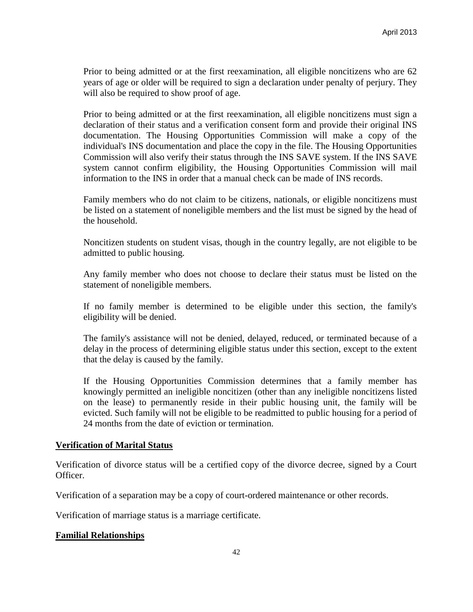Prior to being admitted or at the first reexamination, all eligible noncitizens who are 62 years of age or older will be required to sign a declaration under penalty of perjury. They will also be required to show proof of age.

Prior to being admitted or at the first reexamination, all eligible noncitizens must sign a declaration of their status and a verification consent form and provide their original INS documentation. The Housing Opportunities Commission will make a copy of the individual's INS documentation and place the copy in the file. The Housing Opportunities Commission will also verify their status through the INS SAVE system. If the INS SAVE system cannot confirm eligibility, the Housing Opportunities Commission will mail information to the INS in order that a manual check can be made of INS records.

Family members who do not claim to be citizens, nationals, or eligible noncitizens must be listed on a statement of noneligible members and the list must be signed by the head of the household.

Noncitizen students on student visas, though in the country legally, are not eligible to be admitted to public housing.

Any family member who does not choose to declare their status must be listed on the statement of noneligible members.

If no family member is determined to be eligible under this section, the family's eligibility will be denied.

The family's assistance will not be denied, delayed, reduced, or terminated because of a delay in the process of determining eligible status under this section, except to the extent that the delay is caused by the family.

If the Housing Opportunities Commission determines that a family member has knowingly permitted an ineligible noncitizen (other than any ineligible noncitizens listed on the lease) to permanently reside in their public housing unit, the family will be evicted. Such family will not be eligible to be readmitted to public housing for a period of 24 months from the date of eviction or termination.

## **Verification of Marital Status**

Verification of divorce status will be a certified copy of the divorce decree, signed by a Court Officer.

Verification of a separation may be a copy of court-ordered maintenance or other records.

Verification of marriage status is a marriage certificate.

## **Familial Relationships**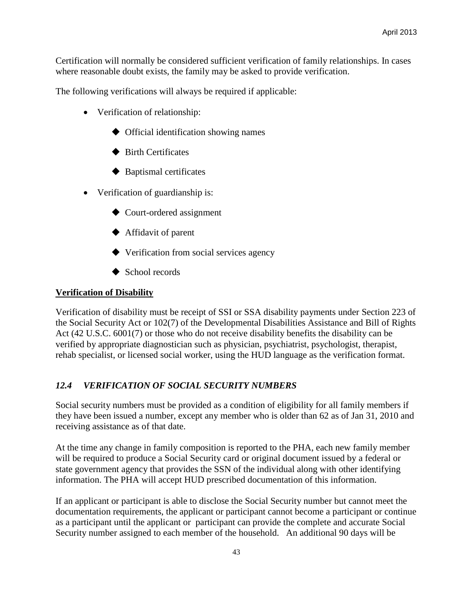Certification will normally be considered sufficient verification of family relationships. In cases where reasonable doubt exists, the family may be asked to provide verification.

The following verifications will always be required if applicable:

- Verification of relationship:
	- ◆ Official identification showing names
	- **◆** Birth Certificates
	- $\blacklozenge$  Baptismal certificates
- Verification of guardianship is:
	- ◆ Court-ordered assignment
	- ◆ Affidavit of parent
	- ◆ Verification from social services agency
	- $\blacklozenge$  School records

# **Verification of Disability**

Verification of disability must be receipt of SSI or SSA disability payments under Section 223 of the Social Security Act or 102(7) of the Developmental Disabilities Assistance and Bill of Rights Act (42 U.S.C. 6001(7) or those who do not receive disability benefits the disability can be verified by appropriate diagnostician such as physician, psychiatrist, psychologist, therapist, rehab specialist, or licensed social worker, using the HUD language as the verification format.

# *12.4 VERIFICATION OF SOCIAL SECURITY NUMBERS*

Social security numbers must be provided as a condition of eligibility for all family members if they have been issued a number, except any member who is older than 62 as of Jan 31, 2010 and receiving assistance as of that date.

At the time any change in family composition is reported to the PHA, each new family member will be required to produce a Social Security card or original document issued by a federal or state government agency that provides the SSN of the individual along with other identifying information. The PHA will accept HUD prescribed documentation of this information.

If an applicant or participant is able to disclose the Social Security number but cannot meet the documentation requirements, the applicant or participant cannot become a participant or continue as a participant until the applicant or participant can provide the complete and accurate Social Security number assigned to each member of the household. An additional 90 days will be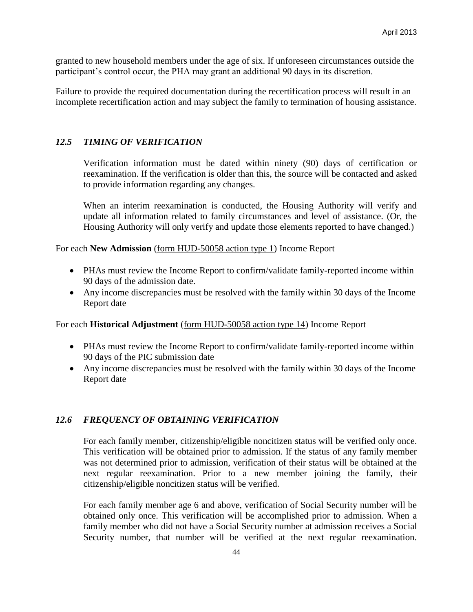granted to new household members under the age of six. If unforeseen circumstances outside the participant's control occur, the PHA may grant an additional 90 days in its discretion.

Failure to provide the required documentation during the recertification process will result in an incomplete recertification action and may subject the family to termination of housing assistance.

# *12.5 TIMING OF VERIFICATION*

Verification information must be dated within ninety (90) days of certification or reexamination. If the verification is older than this, the source will be contacted and asked to provide information regarding any changes.

When an interim reexamination is conducted, the Housing Authority will verify and update all information related to family circumstances and level of assistance. (Or, the Housing Authority will only verify and update those elements reported to have changed.)

For each **New Admission** (form HUD-50058 action type 1) Income Report

- PHAs must review the Income Report to confirm/validate family-reported income within 90 days of the admission date.
- Any income discrepancies must be resolved with the family within 30 days of the Income Report date

For each **Historical Adjustment** (form HUD-50058 action type 14) Income Report

- PHAs must review the Income Report to confirm/validate family-reported income within 90 days of the PIC submission date
- Any income discrepancies must be resolved with the family within 30 days of the Income Report date

# *12.6 FREQUENCY OF OBTAINING VERIFICATION*

For each family member, citizenship/eligible noncitizen status will be verified only once. This verification will be obtained prior to admission. If the status of any family member was not determined prior to admission, verification of their status will be obtained at the next regular reexamination. Prior to a new member joining the family, their citizenship/eligible noncitizen status will be verified.

For each family member age 6 and above, verification of Social Security number will be obtained only once. This verification will be accomplished prior to admission. When a family member who did not have a Social Security number at admission receives a Social Security number, that number will be verified at the next regular reexamination.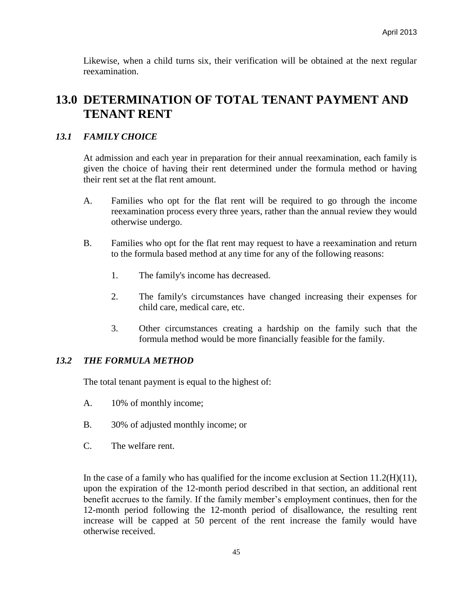Likewise, when a child turns six, their verification will be obtained at the next regular reexamination.

# **13.0 DETERMINATION OF TOTAL TENANT PAYMENT AND TENANT RENT**

# *13.1 FAMILY CHOICE*

At admission and each year in preparation for their annual reexamination, each family is given the choice of having their rent determined under the formula method or having their rent set at the flat rent amount.

- A. Families who opt for the flat rent will be required to go through the income reexamination process every three years, rather than the annual review they would otherwise undergo.
- B. Families who opt for the flat rent may request to have a reexamination and return to the formula based method at any time for any of the following reasons:
	- 1. The family's income has decreased.
	- 2. The family's circumstances have changed increasing their expenses for child care, medical care, etc.
	- 3. Other circumstances creating a hardship on the family such that the formula method would be more financially feasible for the family.

# *13.2 THE FORMULA METHOD*

The total tenant payment is equal to the highest of:

- A. 10% of monthly income;
- B. 30% of adjusted monthly income; or
- C. The welfare rent.

In the case of a family who has qualified for the income exclusion at Section 11.2( $H$ )(11), upon the expiration of the 12-month period described in that section, an additional rent benefit accrues to the family. If the family member's employment continues, then for the 12-month period following the 12-month period of disallowance, the resulting rent increase will be capped at 50 percent of the rent increase the family would have otherwise received.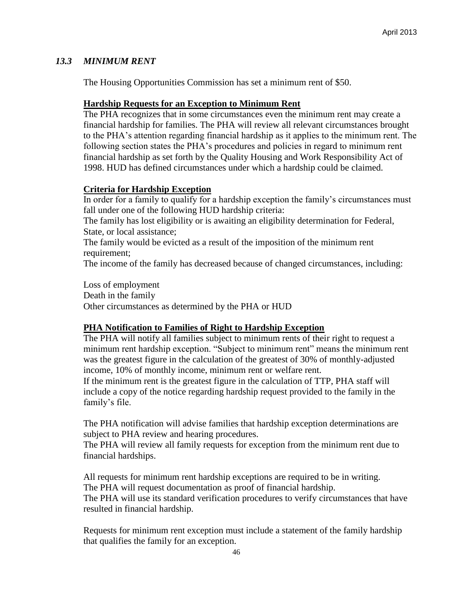# *13.3 MINIMUM RENT*

The Housing Opportunities Commission has set a minimum rent of \$50.

## **Hardship Requests for an Exception to Minimum Rent**

The PHA recognizes that in some circumstances even the minimum rent may create a financial hardship for families. The PHA will review all relevant circumstances brought to the PHA's attention regarding financial hardship as it applies to the minimum rent. The following section states the PHA's procedures and policies in regard to minimum rent financial hardship as set forth by the Quality Housing and Work Responsibility Act of 1998. HUD has defined circumstances under which a hardship could be claimed.

# **Criteria for Hardship Exception**

In order for a family to qualify for a hardship exception the family's circumstances must fall under one of the following HUD hardship criteria:

The family has lost eligibility or is awaiting an eligibility determination for Federal, State, or local assistance;

The family would be evicted as a result of the imposition of the minimum rent requirement;

The income of the family has decreased because of changed circumstances, including:

Loss of employment Death in the family Other circumstances as determined by the PHA or HUD

## **PHA Notification to Families of Right to Hardship Exception**

The PHA will notify all families subject to minimum rents of their right to request a minimum rent hardship exception. "Subject to minimum rent" means the minimum rent was the greatest figure in the calculation of the greatest of 30% of monthly-adjusted income, 10% of monthly income, minimum rent or welfare rent.

If the minimum rent is the greatest figure in the calculation of TTP, PHA staff will include a copy of the notice regarding hardship request provided to the family in the family's file.

The PHA notification will advise families that hardship exception determinations are subject to PHA review and hearing procedures.

The PHA will review all family requests for exception from the minimum rent due to financial hardships.

All requests for minimum rent hardship exceptions are required to be in writing. The PHA will request documentation as proof of financial hardship.

The PHA will use its standard verification procedures to verify circumstances that have resulted in financial hardship.

Requests for minimum rent exception must include a statement of the family hardship that qualifies the family for an exception.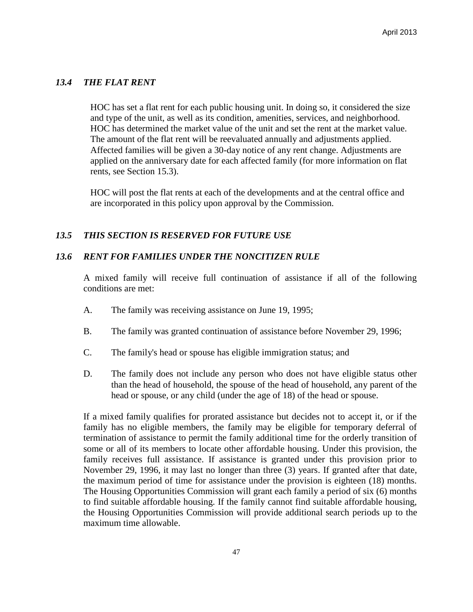## *13.4 THE FLAT RENT*

HOC has set a flat rent for each public housing unit. In doing so, it considered the size and type of the unit, as well as its condition, amenities, services, and neighborhood. HOC has determined the market value of the unit and set the rent at the market value. The amount of the flat rent will be reevaluated annually and adjustments applied. Affected families will be given a 30-day notice of any rent change. Adjustments are applied on the anniversary date for each affected family (for more information on flat rents, see Section 15.3).

HOC will post the flat rents at each of the developments and at the central office and are incorporated in this policy upon approval by the Commission.

## *13.5 THIS SECTION IS RESERVED FOR FUTURE USE*

## *13.6 RENT FOR FAMILIES UNDER THE NONCITIZEN RULE*

A mixed family will receive full continuation of assistance if all of the following conditions are met:

- A. The family was receiving assistance on June 19, 1995;
- B. The family was granted continuation of assistance before November 29, 1996;
- C. The family's head or spouse has eligible immigration status; and
- D. The family does not include any person who does not have eligible status other than the head of household, the spouse of the head of household, any parent of the head or spouse, or any child (under the age of 18) of the head or spouse.

If a mixed family qualifies for prorated assistance but decides not to accept it, or if the family has no eligible members, the family may be eligible for temporary deferral of termination of assistance to permit the family additional time for the orderly transition of some or all of its members to locate other affordable housing. Under this provision, the family receives full assistance. If assistance is granted under this provision prior to November 29, 1996, it may last no longer than three (3) years. If granted after that date, the maximum period of time for assistance under the provision is eighteen (18) months. The Housing Opportunities Commission will grant each family a period of six (6) months to find suitable affordable housing. If the family cannot find suitable affordable housing, the Housing Opportunities Commission will provide additional search periods up to the maximum time allowable.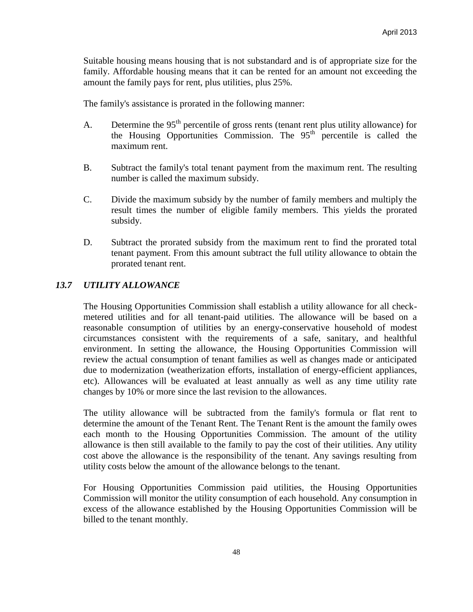Suitable housing means housing that is not substandard and is of appropriate size for the family. Affordable housing means that it can be rented for an amount not exceeding the amount the family pays for rent, plus utilities, plus 25%.

The family's assistance is prorated in the following manner:

- A. Determine the  $95<sup>th</sup>$  percentile of gross rents (tenant rent plus utility allowance) for the Housing Opportunities Commission. The  $95<sup>th</sup>$  percentile is called the maximum rent.
- B. Subtract the family's total tenant payment from the maximum rent. The resulting number is called the maximum subsidy.
- C. Divide the maximum subsidy by the number of family members and multiply the result times the number of eligible family members. This yields the prorated subsidy.
- D. Subtract the prorated subsidy from the maximum rent to find the prorated total tenant payment. From this amount subtract the full utility allowance to obtain the prorated tenant rent.

# *13.7 UTILITY ALLOWANCE*

The Housing Opportunities Commission shall establish a utility allowance for all checkmetered utilities and for all tenant-paid utilities. The allowance will be based on a reasonable consumption of utilities by an energy-conservative household of modest circumstances consistent with the requirements of a safe, sanitary, and healthful environment. In setting the allowance, the Housing Opportunities Commission will review the actual consumption of tenant families as well as changes made or anticipated due to modernization (weatherization efforts, installation of energy-efficient appliances, etc). Allowances will be evaluated at least annually as well as any time utility rate changes by 10% or more since the last revision to the allowances.

The utility allowance will be subtracted from the family's formula or flat rent to determine the amount of the Tenant Rent. The Tenant Rent is the amount the family owes each month to the Housing Opportunities Commission. The amount of the utility allowance is then still available to the family to pay the cost of their utilities. Any utility cost above the allowance is the responsibility of the tenant. Any savings resulting from utility costs below the amount of the allowance belongs to the tenant.

For Housing Opportunities Commission paid utilities, the Housing Opportunities Commission will monitor the utility consumption of each household. Any consumption in excess of the allowance established by the Housing Opportunities Commission will be billed to the tenant monthly.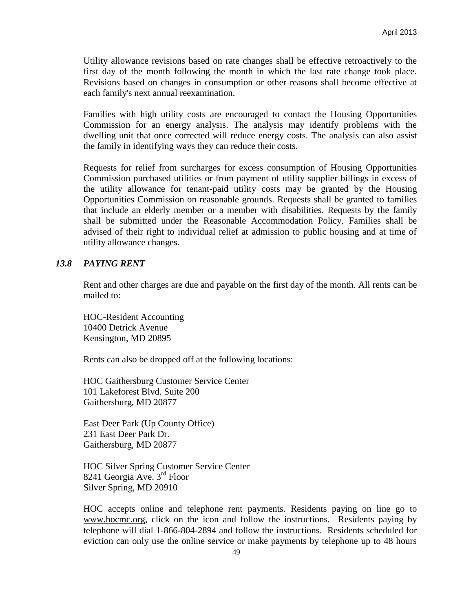Utility allowance revisions based on rate changes shall be effective retroactively to the first day of the month following the month in which the last rate change took place. Revisions based on changes in consumption or other reasons shall become effective at each family's next annual reexamination.

Families with high utility costs are encouraged to contact the Housing Opportunities Commission for an energy analysis. The analysis may identify problems with the dwelling unit that once corrected will reduce energy costs. The analysis can also assist the family in identifying ways they can reduce their costs.

Requests for relief from surcharges for excess consumption of Housing Opportunities Commission purchased utilities or from payment of utility supplier billings in excess of the utility allowance for tenant-paid utility costs may be granted by the Housing Opportunities Commission on reasonable grounds. Requests shall be granted to families that include an elderly member or a member with disabilities. Requests by the family shall be submitted under the Reasonable Accommodation Policy. Families shall be advised of their right to individual relief at admission to public housing and at time of utility allowance changes.

#### *13.8 PAYING RENT*

Rent and other charges are due and payable on the first day of the month. All rents can be mailed to:

HOC-Resident Accounting 10400 Detrick Avenue Kensington, MD 20895

Rents can also be dropped off at the following locations:

HOC Gaithersburg Customer Service Center 101 Lakeforest Blvd. Suite 200 Gaithersburg, MD 20877

East Deer Park (Up County Office) 231 East Deer Park Dr. Gaithersburg, MD 20877

HOC Silver Spring Customer Service Center 8241 Georgia Ave. 3rd Floor Silver Spring, MD 20910

HOC accepts online and telephone rent payments. Residents paying on line go to [www.hocmc.org,](http://www.hocmc.org/) click on the icon and follow the instructions. Residents paying by telephone will dial 1-866-804-2894 and follow the instructions. Residents scheduled for eviction can only use the online service or make payments by telephone up to 48 hours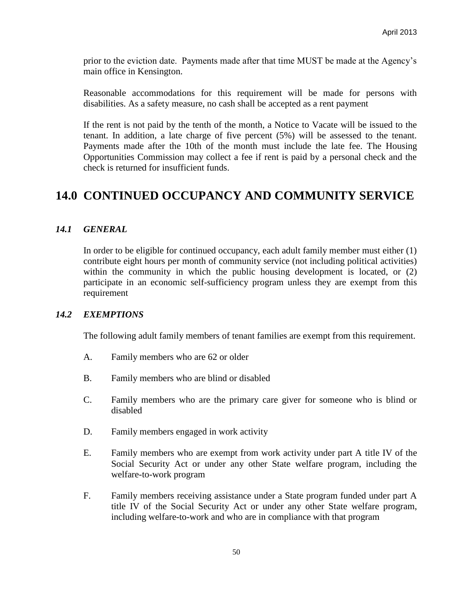prior to the eviction date. Payments made after that time MUST be made at the Agency's main office in Kensington.

Reasonable accommodations for this requirement will be made for persons with disabilities. As a safety measure, no cash shall be accepted as a rent payment

If the rent is not paid by the tenth of the month, a Notice to Vacate will be issued to the tenant. In addition, a late charge of five percent (5%) will be assessed to the tenant. Payments made after the 10th of the month must include the late fee. The Housing Opportunities Commission may collect a fee if rent is paid by a personal check and the check is returned for insufficient funds.

# **14.0 CONTINUED OCCUPANCY AND COMMUNITY SERVICE**

# *14.1 GENERAL*

In order to be eligible for continued occupancy, each adult family member must either (1) contribute eight hours per month of community service (not including political activities) within the community in which the public housing development is located, or  $(2)$ participate in an economic self-sufficiency program unless they are exempt from this requirement

## *14.2 EXEMPTIONS*

The following adult family members of tenant families are exempt from this requirement.

- A. Family members who are 62 or older
- B. Family members who are blind or disabled
- C. Family members who are the primary care giver for someone who is blind or disabled
- D. Family members engaged in work activity
- E. Family members who are exempt from work activity under part A title IV of the Social Security Act or under any other State welfare program, including the welfare-to-work program
- F. Family members receiving assistance under a State program funded under part A title IV of the Social Security Act or under any other State welfare program, including welfare-to-work and who are in compliance with that program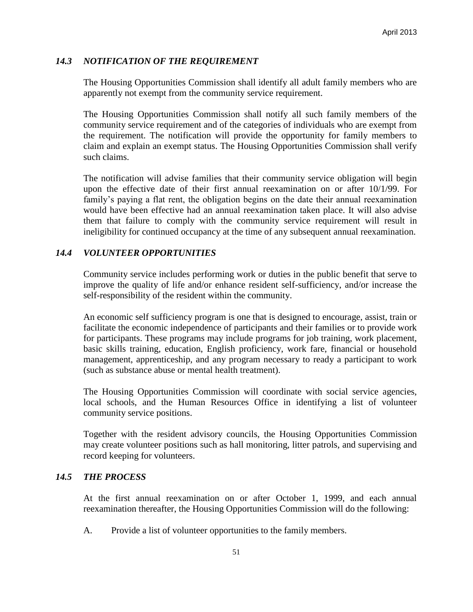# *14.3 NOTIFICATION OF THE REQUIREMENT*

The Housing Opportunities Commission shall identify all adult family members who are apparently not exempt from the community service requirement.

The Housing Opportunities Commission shall notify all such family members of the community service requirement and of the categories of individuals who are exempt from the requirement. The notification will provide the opportunity for family members to claim and explain an exempt status. The Housing Opportunities Commission shall verify such claims.

The notification will advise families that their community service obligation will begin upon the effective date of their first annual reexamination on or after 10/1/99. For family's paying a flat rent, the obligation begins on the date their annual reexamination would have been effective had an annual reexamination taken place. It will also advise them that failure to comply with the community service requirement will result in ineligibility for continued occupancy at the time of any subsequent annual reexamination.

# *14.4 VOLUNTEER OPPORTUNITIES*

Community service includes performing work or duties in the public benefit that serve to improve the quality of life and/or enhance resident self-sufficiency, and/or increase the self-responsibility of the resident within the community.

An economic self sufficiency program is one that is designed to encourage, assist, train or facilitate the economic independence of participants and their families or to provide work for participants. These programs may include programs for job training, work placement, basic skills training, education, English proficiency, work fare, financial or household management, apprenticeship, and any program necessary to ready a participant to work (such as substance abuse or mental health treatment).

The Housing Opportunities Commission will coordinate with social service agencies, local schools, and the Human Resources Office in identifying a list of volunteer community service positions.

Together with the resident advisory councils, the Housing Opportunities Commission may create volunteer positions such as hall monitoring, litter patrols, and supervising and record keeping for volunteers.

## *14.5 THE PROCESS*

At the first annual reexamination on or after October 1, 1999, and each annual reexamination thereafter, the Housing Opportunities Commission will do the following:

A. Provide a list of volunteer opportunities to the family members.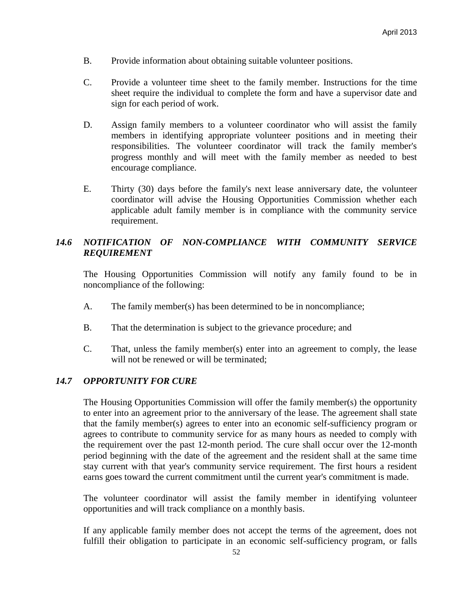- B. Provide information about obtaining suitable volunteer positions.
- C. Provide a volunteer time sheet to the family member. Instructions for the time sheet require the individual to complete the form and have a supervisor date and sign for each period of work.
- D. Assign family members to a volunteer coordinator who will assist the family members in identifying appropriate volunteer positions and in meeting their responsibilities. The volunteer coordinator will track the family member's progress monthly and will meet with the family member as needed to best encourage compliance.
- E. Thirty (30) days before the family's next lease anniversary date, the volunteer coordinator will advise the Housing Opportunities Commission whether each applicable adult family member is in compliance with the community service requirement.

# *14.6 NOTIFICATION OF NON-COMPLIANCE WITH COMMUNITY SERVICE REQUIREMENT*

The Housing Opportunities Commission will notify any family found to be in noncompliance of the following:

- A. The family member(s) has been determined to be in noncompliance;
- B. That the determination is subject to the grievance procedure; and
- C. That, unless the family member(s) enter into an agreement to comply, the lease will not be renewed or will be terminated;

## *14.7 OPPORTUNITY FOR CURE*

The Housing Opportunities Commission will offer the family member(s) the opportunity to enter into an agreement prior to the anniversary of the lease. The agreement shall state that the family member(s) agrees to enter into an economic self-sufficiency program or agrees to contribute to community service for as many hours as needed to comply with the requirement over the past 12-month period. The cure shall occur over the 12-month period beginning with the date of the agreement and the resident shall at the same time stay current with that year's community service requirement. The first hours a resident earns goes toward the current commitment until the current year's commitment is made.

The volunteer coordinator will assist the family member in identifying volunteer opportunities and will track compliance on a monthly basis.

If any applicable family member does not accept the terms of the agreement, does not fulfill their obligation to participate in an economic self-sufficiency program, or falls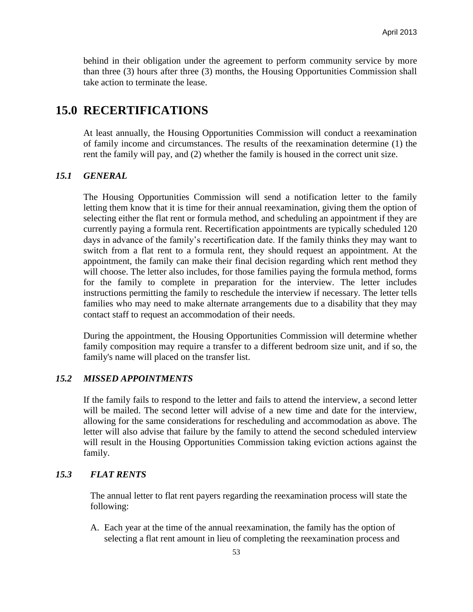behind in their obligation under the agreement to perform community service by more than three (3) hours after three (3) months, the Housing Opportunities Commission shall take action to terminate the lease.

# **15.0 RECERTIFICATIONS**

At least annually, the Housing Opportunities Commission will conduct a reexamination of family income and circumstances. The results of the reexamination determine (1) the rent the family will pay, and (2) whether the family is housed in the correct unit size.

# *15.1 GENERAL*

The Housing Opportunities Commission will send a notification letter to the family letting them know that it is time for their annual reexamination, giving them the option of selecting either the flat rent or formula method, and scheduling an appointment if they are currently paying a formula rent. Recertification appointments are typically scheduled 120 days in advance of the family's recertification date. If the family thinks they may want to switch from a flat rent to a formula rent, they should request an appointment. At the appointment, the family can make their final decision regarding which rent method they will choose. The letter also includes, for those families paying the formula method, forms for the family to complete in preparation for the interview. The letter includes instructions permitting the family to reschedule the interview if necessary. The letter tells families who may need to make alternate arrangements due to a disability that they may contact staff to request an accommodation of their needs.

During the appointment, the Housing Opportunities Commission will determine whether family composition may require a transfer to a different bedroom size unit, and if so, the family's name will placed on the transfer list.

## *15.2 MISSED APPOINTMENTS*

If the family fails to respond to the letter and fails to attend the interview, a second letter will be mailed. The second letter will advise of a new time and date for the interview, allowing for the same considerations for rescheduling and accommodation as above. The letter will also advise that failure by the family to attend the second scheduled interview will result in the Housing Opportunities Commission taking eviction actions against the family.

#### *15.3 FLAT RENTS*

The annual letter to flat rent payers regarding the reexamination process will state the following:

A. Each year at the time of the annual reexamination, the family has the option of selecting a flat rent amount in lieu of completing the reexamination process and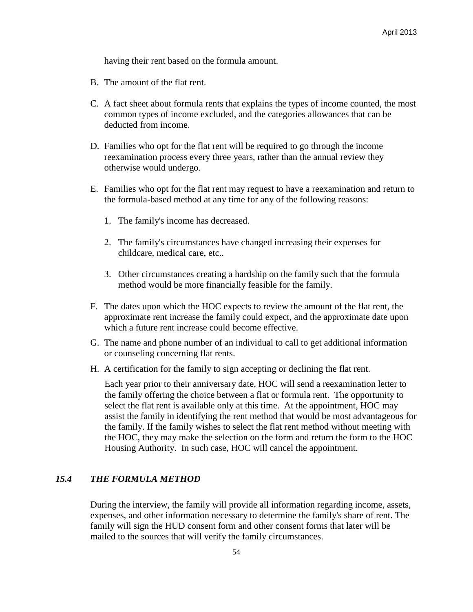having their rent based on the formula amount.

- B. The amount of the flat rent.
- C. A fact sheet about formula rents that explains the types of income counted, the most common types of income excluded, and the categories allowances that can be deducted from income.
- D. Families who opt for the flat rent will be required to go through the income reexamination process every three years, rather than the annual review they otherwise would undergo.
- E. Families who opt for the flat rent may request to have a reexamination and return to the formula-based method at any time for any of the following reasons:
	- 1. The family's income has decreased.
	- 2. The family's circumstances have changed increasing their expenses for childcare, medical care, etc..
	- 3. Other circumstances creating a hardship on the family such that the formula method would be more financially feasible for the family.
- F. The dates upon which the HOC expects to review the amount of the flat rent, the approximate rent increase the family could expect, and the approximate date upon which a future rent increase could become effective.
- G. The name and phone number of an individual to call to get additional information or counseling concerning flat rents.
- H. A certification for the family to sign accepting or declining the flat rent.

Each year prior to their anniversary date, HOC will send a reexamination letter to the family offering the choice between a flat or formula rent. The opportunity to select the flat rent is available only at this time. At the appointment, HOC may assist the family in identifying the rent method that would be most advantageous for the family. If the family wishes to select the flat rent method without meeting with the HOC, they may make the selection on the form and return the form to the HOC Housing Authority. In such case, HOC will cancel the appointment.

#### *15.4 THE FORMULA METHOD*

During the interview, the family will provide all information regarding income, assets, expenses, and other information necessary to determine the family's share of rent. The family will sign the HUD consent form and other consent forms that later will be mailed to the sources that will verify the family circumstances.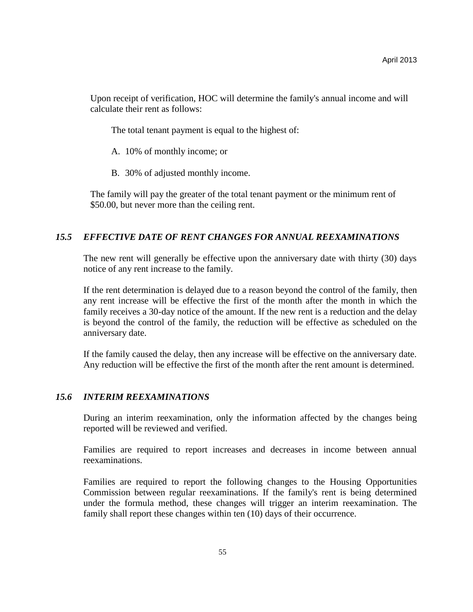Upon receipt of verification, HOC will determine the family's annual income and will calculate their rent as follows:

The total tenant payment is equal to the highest of:

- A. 10% of monthly income; or
- B. 30% of adjusted monthly income.

The family will pay the greater of the total tenant payment or the minimum rent of \$50.00, but never more than the ceiling rent.

#### *15.5 EFFECTIVE DATE OF RENT CHANGES FOR ANNUAL REEXAMINATIONS*

The new rent will generally be effective upon the anniversary date with thirty (30) days notice of any rent increase to the family.

If the rent determination is delayed due to a reason beyond the control of the family, then any rent increase will be effective the first of the month after the month in which the family receives a 30-day notice of the amount. If the new rent is a reduction and the delay is beyond the control of the family, the reduction will be effective as scheduled on the anniversary date.

If the family caused the delay, then any increase will be effective on the anniversary date. Any reduction will be effective the first of the month after the rent amount is determined.

### *15.6 INTERIM REEXAMINATIONS*

During an interim reexamination, only the information affected by the changes being reported will be reviewed and verified.

Families are required to report increases and decreases in income between annual reexaminations.

Families are required to report the following changes to the Housing Opportunities Commission between regular reexaminations. If the family's rent is being determined under the formula method, these changes will trigger an interim reexamination. The family shall report these changes within ten (10) days of their occurrence.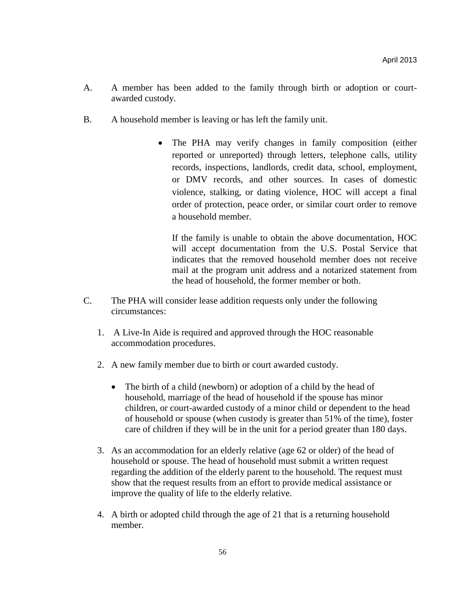- A. A member has been added to the family through birth or adoption or courtawarded custody.
- B. A household member is leaving or has left the family unit.
	- The PHA may verify changes in family composition (either reported or unreported) through letters, telephone calls, utility records, inspections, landlords, credit data, school, employment, or DMV records, and other sources. In cases of domestic violence, stalking, or dating violence, HOC will accept a final order of protection, peace order, or similar court order to remove a household member.

If the family is unable to obtain the above documentation, HOC will accept documentation from the U.S. Postal Service that indicates that the removed household member does not receive mail at the program unit address and a notarized statement from the head of household, the former member or both.

- C. The PHA will consider lease addition requests only under the following circumstances:
	- 1. A Live-In Aide is required and approved through the HOC reasonable accommodation procedures.
	- 2. A new family member due to birth or court awarded custody.
		- The birth of a child (newborn) or adoption of a child by the head of household, marriage of the head of household if the spouse has minor children, or court-awarded custody of a minor child or dependent to the head of household or spouse (when custody is greater than 51% of the time), foster care of children if they will be in the unit for a period greater than 180 days.
	- 3. As an accommodation for an elderly relative (age 62 or older) of the head of household or spouse. The head of household must submit a written request regarding the addition of the elderly parent to the household. The request must show that the request results from an effort to provide medical assistance or improve the quality of life to the elderly relative.
	- 4. A birth or adopted child through the age of 21 that is a returning household member.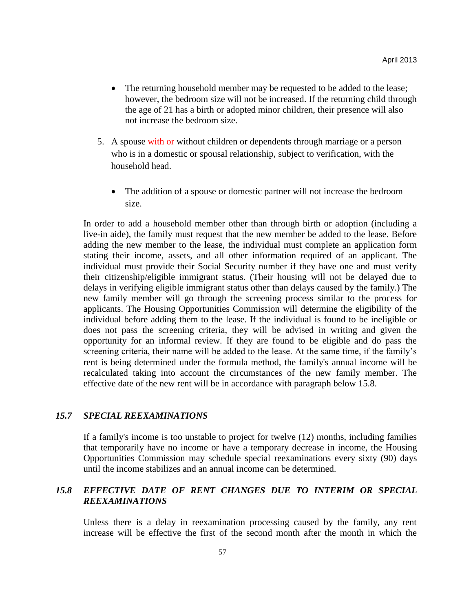- The returning household member may be requested to be added to the lease; however, the bedroom size will not be increased. If the returning child through the age of 21 has a birth or adopted minor children, their presence will also not increase the bedroom size.
- 5. A spouse with or without children or dependents through marriage or a person who is in a domestic or spousal relationship, subject to verification, with the household head.
	- The addition of a spouse or domestic partner will not increase the bedroom size.

In order to add a household member other than through birth or adoption (including a live-in aide), the family must request that the new member be added to the lease. Before adding the new member to the lease, the individual must complete an application form stating their income, assets, and all other information required of an applicant. The individual must provide their Social Security number if they have one and must verify their citizenship/eligible immigrant status. (Their housing will not be delayed due to delays in verifying eligible immigrant status other than delays caused by the family.) The new family member will go through the screening process similar to the process for applicants. The Housing Opportunities Commission will determine the eligibility of the individual before adding them to the lease. If the individual is found to be ineligible or does not pass the screening criteria, they will be advised in writing and given the opportunity for an informal review. If they are found to be eligible and do pass the screening criteria, their name will be added to the lease. At the same time, if the family's rent is being determined under the formula method, the family's annual income will be recalculated taking into account the circumstances of the new family member. The effective date of the new rent will be in accordance with paragraph below 15.8.

#### *15.7 SPECIAL REEXAMINATIONS*

If a family's income is too unstable to project for twelve (12) months, including families that temporarily have no income or have a temporary decrease in income, the Housing Opportunities Commission may schedule special reexaminations every sixty (90) days until the income stabilizes and an annual income can be determined.

# *15.8 EFFECTIVE DATE OF RENT CHANGES DUE TO INTERIM OR SPECIAL REEXAMINATIONS*

Unless there is a delay in reexamination processing caused by the family, any rent increase will be effective the first of the second month after the month in which the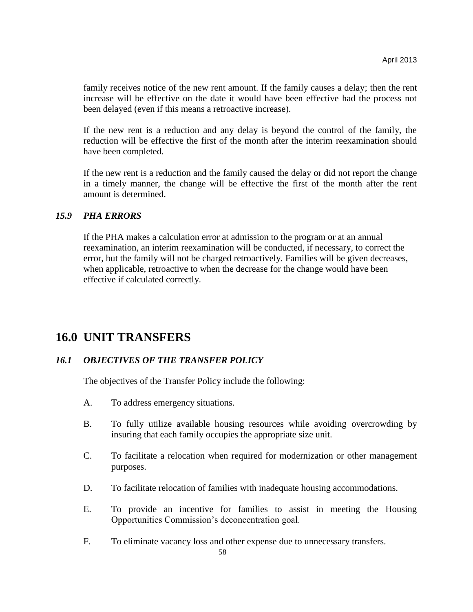family receives notice of the new rent amount. If the family causes a delay; then the rent increase will be effective on the date it would have been effective had the process not been delayed (even if this means a retroactive increase).

If the new rent is a reduction and any delay is beyond the control of the family, the reduction will be effective the first of the month after the interim reexamination should have been completed.

If the new rent is a reduction and the family caused the delay or did not report the change in a timely manner, the change will be effective the first of the month after the rent amount is determined.

# *15.9 PHA ERRORS*

If the PHA makes a calculation error at admission to the program or at an annual reexamination, an interim reexamination will be conducted, if necessary, to correct the error, but the family will not be charged retroactively. Families will be given decreases, when applicable, retroactive to when the decrease for the change would have been effective if calculated correctly.

# **16.0 UNIT TRANSFERS**

# *16.1 OBJECTIVES OF THE TRANSFER POLICY*

The objectives of the Transfer Policy include the following:

- A. To address emergency situations.
- B. To fully utilize available housing resources while avoiding overcrowding by insuring that each family occupies the appropriate size unit.
- C. To facilitate a relocation when required for modernization or other management purposes.
- D. To facilitate relocation of families with inadequate housing accommodations.
- E. To provide an incentive for families to assist in meeting the Housing Opportunities Commission's deconcentration goal.
- F. To eliminate vacancy loss and other expense due to unnecessary transfers.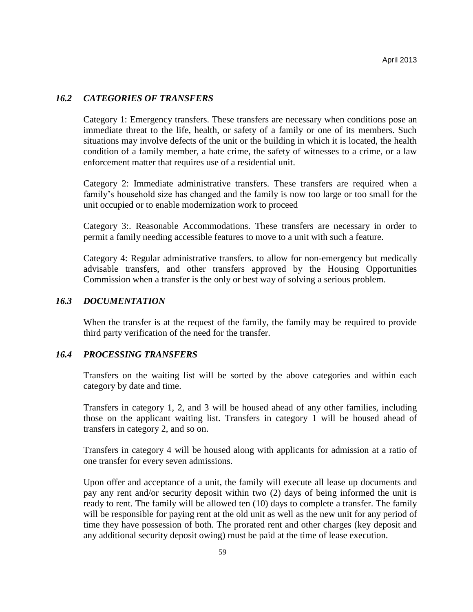## *16.2 CATEGORIES OF TRANSFERS*

Category 1: Emergency transfers. These transfers are necessary when conditions pose an immediate threat to the life, health, or safety of a family or one of its members. Such situations may involve defects of the unit or the building in which it is located, the health condition of a family member, a hate crime, the safety of witnesses to a crime, or a law enforcement matter that requires use of a residential unit.

Category 2: Immediate administrative transfers. These transfers are required when a family's household size has changed and the family is now too large or too small for the unit occupied or to enable modernization work to proceed

Category 3:. Reasonable Accommodations. These transfers are necessary in order to permit a family needing accessible features to move to a unit with such a feature.

Category 4: Regular administrative transfers. to allow for non-emergency but medically advisable transfers, and other transfers approved by the Housing Opportunities Commission when a transfer is the only or best way of solving a serious problem.

#### *16.3 DOCUMENTATION*

When the transfer is at the request of the family, the family may be required to provide third party verification of the need for the transfer.

#### *16.4 PROCESSING TRANSFERS*

Transfers on the waiting list will be sorted by the above categories and within each category by date and time.

Transfers in category 1, 2, and 3 will be housed ahead of any other families, including those on the applicant waiting list. Transfers in category 1 will be housed ahead of transfers in category 2, and so on.

Transfers in category 4 will be housed along with applicants for admission at a ratio of one transfer for every seven admissions.

Upon offer and acceptance of a unit, the family will execute all lease up documents and pay any rent and/or security deposit within two (2) days of being informed the unit is ready to rent. The family will be allowed ten (10) days to complete a transfer. The family will be responsible for paying rent at the old unit as well as the new unit for any period of time they have possession of both. The prorated rent and other charges (key deposit and any additional security deposit owing) must be paid at the time of lease execution.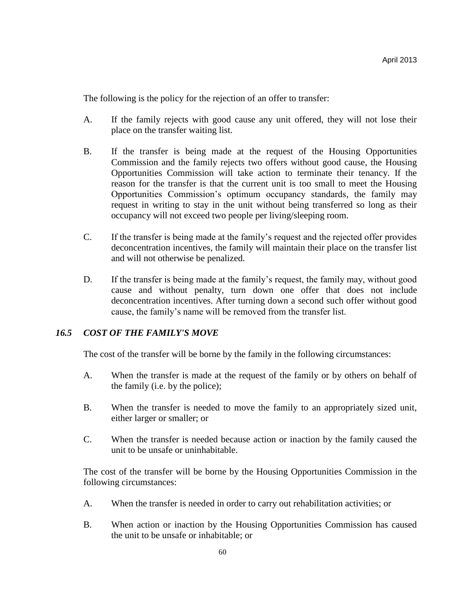The following is the policy for the rejection of an offer to transfer:

- A. If the family rejects with good cause any unit offered, they will not lose their place on the transfer waiting list.
- B. If the transfer is being made at the request of the Housing Opportunities Commission and the family rejects two offers without good cause, the Housing Opportunities Commission will take action to terminate their tenancy. If the reason for the transfer is that the current unit is too small to meet the Housing Opportunities Commission's optimum occupancy standards, the family may request in writing to stay in the unit without being transferred so long as their occupancy will not exceed two people per living/sleeping room.
- C. If the transfer is being made at the family's request and the rejected offer provides deconcentration incentives, the family will maintain their place on the transfer list and will not otherwise be penalized.
- D. If the transfer is being made at the family's request, the family may, without good cause and without penalty, turn down one offer that does not include deconcentration incentives. After turning down a second such offer without good cause, the family's name will be removed from the transfer list.

## *16.5 COST OF THE FAMILY'S MOVE*

The cost of the transfer will be borne by the family in the following circumstances:

- A. When the transfer is made at the request of the family or by others on behalf of the family (i.e. by the police);
- B. When the transfer is needed to move the family to an appropriately sized unit, either larger or smaller; or
- C. When the transfer is needed because action or inaction by the family caused the unit to be unsafe or uninhabitable.

The cost of the transfer will be borne by the Housing Opportunities Commission in the following circumstances:

- A. When the transfer is needed in order to carry out rehabilitation activities; or
- B. When action or inaction by the Housing Opportunities Commission has caused the unit to be unsafe or inhabitable; or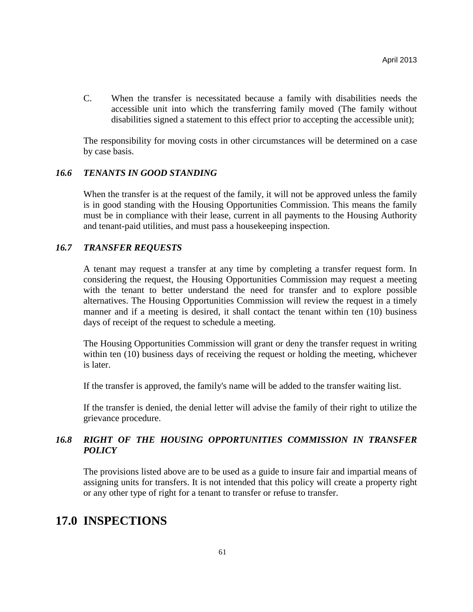C. When the transfer is necessitated because a family with disabilities needs the accessible unit into which the transferring family moved (The family without disabilities signed a statement to this effect prior to accepting the accessible unit);

The responsibility for moving costs in other circumstances will be determined on a case by case basis.

## *16.6 TENANTS IN GOOD STANDING*

When the transfer is at the request of the family, it will not be approved unless the family is in good standing with the Housing Opportunities Commission. This means the family must be in compliance with their lease, current in all payments to the Housing Authority and tenant-paid utilities, and must pass a housekeeping inspection.

#### *16.7 TRANSFER REQUESTS*

A tenant may request a transfer at any time by completing a transfer request form. In considering the request, the Housing Opportunities Commission may request a meeting with the tenant to better understand the need for transfer and to explore possible alternatives. The Housing Opportunities Commission will review the request in a timely manner and if a meeting is desired, it shall contact the tenant within ten (10) business days of receipt of the request to schedule a meeting.

The Housing Opportunities Commission will grant or deny the transfer request in writing within ten (10) business days of receiving the request or holding the meeting, whichever is later.

If the transfer is approved, the family's name will be added to the transfer waiting list.

If the transfer is denied, the denial letter will advise the family of their right to utilize the grievance procedure.

# *16.8 RIGHT OF THE HOUSING OPPORTUNITIES COMMISSION IN TRANSFER POLICY*

The provisions listed above are to be used as a guide to insure fair and impartial means of assigning units for transfers. It is not intended that this policy will create a property right or any other type of right for a tenant to transfer or refuse to transfer.

# **17.0 INSPECTIONS**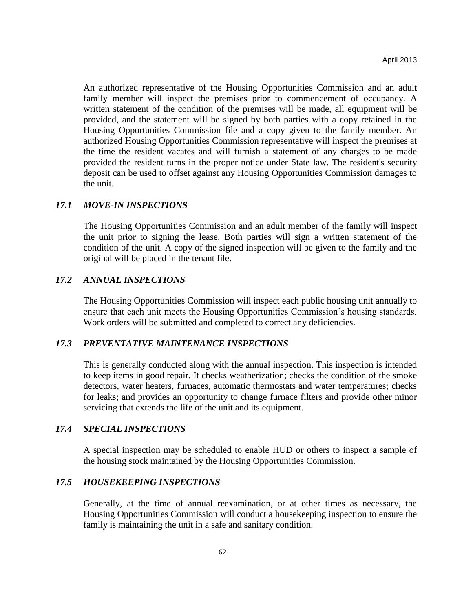An authorized representative of the Housing Opportunities Commission and an adult family member will inspect the premises prior to commencement of occupancy. A written statement of the condition of the premises will be made, all equipment will be provided, and the statement will be signed by both parties with a copy retained in the Housing Opportunities Commission file and a copy given to the family member. An authorized Housing Opportunities Commission representative will inspect the premises at the time the resident vacates and will furnish a statement of any charges to be made provided the resident turns in the proper notice under State law. The resident's security deposit can be used to offset against any Housing Opportunities Commission damages to the unit.

#### *17.1 MOVE-IN INSPECTIONS*

The Housing Opportunities Commission and an adult member of the family will inspect the unit prior to signing the lease. Both parties will sign a written statement of the condition of the unit. A copy of the signed inspection will be given to the family and the original will be placed in the tenant file.

#### *17.2 ANNUAL INSPECTIONS*

The Housing Opportunities Commission will inspect each public housing unit annually to ensure that each unit meets the Housing Opportunities Commission's housing standards. Work orders will be submitted and completed to correct any deficiencies.

#### *17.3 PREVENTATIVE MAINTENANCE INSPECTIONS*

This is generally conducted along with the annual inspection. This inspection is intended to keep items in good repair. It checks weatherization; checks the condition of the smoke detectors, water heaters, furnaces, automatic thermostats and water temperatures; checks for leaks; and provides an opportunity to change furnace filters and provide other minor servicing that extends the life of the unit and its equipment.

#### *17.4 SPECIAL INSPECTIONS*

A special inspection may be scheduled to enable HUD or others to inspect a sample of the housing stock maintained by the Housing Opportunities Commission.

#### *17.5 HOUSEKEEPING INSPECTIONS*

Generally, at the time of annual reexamination, or at other times as necessary, the Housing Opportunities Commission will conduct a housekeeping inspection to ensure the family is maintaining the unit in a safe and sanitary condition.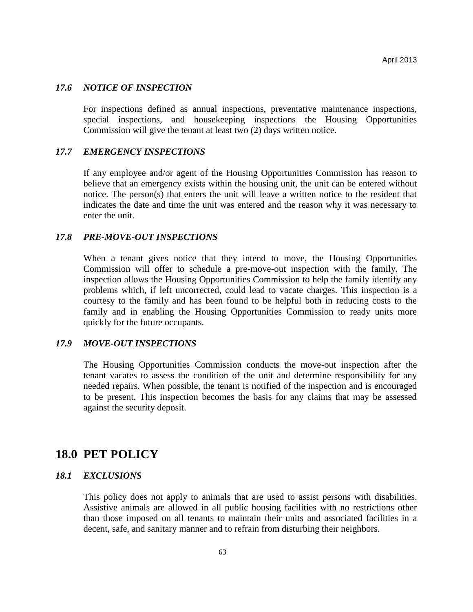#### *17.6 NOTICE OF INSPECTION*

For inspections defined as annual inspections, preventative maintenance inspections, special inspections, and housekeeping inspections the Housing Opportunities Commission will give the tenant at least two (2) days written notice.

#### *17.7 EMERGENCY INSPECTIONS*

If any employee and/or agent of the Housing Opportunities Commission has reason to believe that an emergency exists within the housing unit, the unit can be entered without notice. The person(s) that enters the unit will leave a written notice to the resident that indicates the date and time the unit was entered and the reason why it was necessary to enter the unit.

#### *17.8 PRE-MOVE-OUT INSPECTIONS*

When a tenant gives notice that they intend to move, the Housing Opportunities Commission will offer to schedule a pre-move-out inspection with the family. The inspection allows the Housing Opportunities Commission to help the family identify any problems which, if left uncorrected, could lead to vacate charges. This inspection is a courtesy to the family and has been found to be helpful both in reducing costs to the family and in enabling the Housing Opportunities Commission to ready units more quickly for the future occupants.

#### *17.9 MOVE-OUT INSPECTIONS*

The Housing Opportunities Commission conducts the move-out inspection after the tenant vacates to assess the condition of the unit and determine responsibility for any needed repairs. When possible, the tenant is notified of the inspection and is encouraged to be present. This inspection becomes the basis for any claims that may be assessed against the security deposit.

# **18.0 PET POLICY**

#### *18.1 EXCLUSIONS*

This policy does not apply to animals that are used to assist persons with disabilities. Assistive animals are allowed in all public housing facilities with no restrictions other than those imposed on all tenants to maintain their units and associated facilities in a decent, safe, and sanitary manner and to refrain from disturbing their neighbors.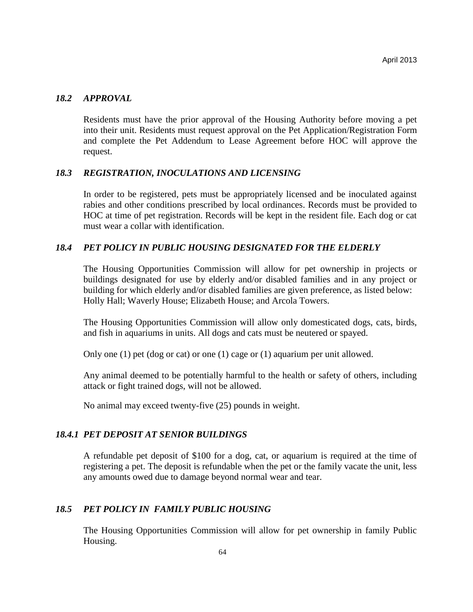## *18.2 APPROVAL*

Residents must have the prior approval of the Housing Authority before moving a pet into their unit. Residents must request approval on the Pet Application/Registration Form and complete the Pet Addendum to Lease Agreement before HOC will approve the request.

#### *18.3 REGISTRATION, INOCULATIONS AND LICENSING*

In order to be registered, pets must be appropriately licensed and be inoculated against rabies and other conditions prescribed by local ordinances. Records must be provided to HOC at time of pet registration. Records will be kept in the resident file. Each dog or cat must wear a collar with identification.

#### *18.4 PET POLICY IN PUBLIC HOUSING DESIGNATED FOR THE ELDERLY*

The Housing Opportunities Commission will allow for pet ownership in projects or buildings designated for use by elderly and/or disabled families and in any project or building for which elderly and/or disabled families are given preference, as listed below: Holly Hall; Waverly House; Elizabeth House; and Arcola Towers.

The Housing Opportunities Commission will allow only domesticated dogs, cats, birds, and fish in aquariums in units. All dogs and cats must be neutered or spayed.

Only one  $(1)$  pet (dog or cat) or one  $(1)$  cage or  $(1)$  aquarium per unit allowed.

Any animal deemed to be potentially harmful to the health or safety of others, including attack or fight trained dogs, will not be allowed.

No animal may exceed twenty-five (25) pounds in weight.

#### *18.4.1 PET DEPOSIT AT SENIOR BUILDINGS*

A refundable pet deposit of \$100 for a dog, cat, or aquarium is required at the time of registering a pet. The deposit is refundable when the pet or the family vacate the unit, less any amounts owed due to damage beyond normal wear and tear.

## *18.5 PET POLICY IN FAMILY PUBLIC HOUSING*

The Housing Opportunities Commission will allow for pet ownership in family Public Housing.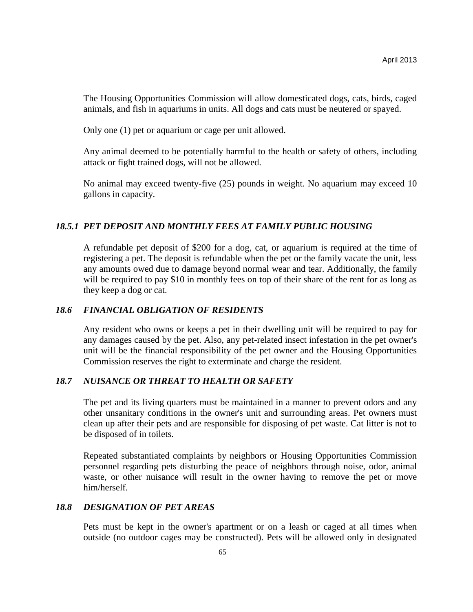The Housing Opportunities Commission will allow domesticated dogs, cats, birds, caged animals, and fish in aquariums in units. All dogs and cats must be neutered or spayed.

Only one (1) pet or aquarium or cage per unit allowed.

Any animal deemed to be potentially harmful to the health or safety of others, including attack or fight trained dogs, will not be allowed.

No animal may exceed twenty-five (25) pounds in weight. No aquarium may exceed 10 gallons in capacity.

#### *18.5.1 PET DEPOSIT AND MONTHLY FEES AT FAMILY PUBLIC HOUSING*

A refundable pet deposit of \$200 for a dog, cat, or aquarium is required at the time of registering a pet. The deposit is refundable when the pet or the family vacate the unit, less any amounts owed due to damage beyond normal wear and tear. Additionally, the family will be required to pay \$10 in monthly fees on top of their share of the rent for as long as they keep a dog or cat.

### *18.6 FINANCIAL OBLIGATION OF RESIDENTS*

Any resident who owns or keeps a pet in their dwelling unit will be required to pay for any damages caused by the pet. Also, any pet-related insect infestation in the pet owner's unit will be the financial responsibility of the pet owner and the Housing Opportunities Commission reserves the right to exterminate and charge the resident.

#### *18.7 NUISANCE OR THREAT TO HEALTH OR SAFETY*

The pet and its living quarters must be maintained in a manner to prevent odors and any other unsanitary conditions in the owner's unit and surrounding areas. Pet owners must clean up after their pets and are responsible for disposing of pet waste. Cat litter is not to be disposed of in toilets.

Repeated substantiated complaints by neighbors or Housing Opportunities Commission personnel regarding pets disturbing the peace of neighbors through noise, odor, animal waste, or other nuisance will result in the owner having to remove the pet or move him/herself.

#### *18.8 DESIGNATION OF PET AREAS*

Pets must be kept in the owner's apartment or on a leash or caged at all times when outside (no outdoor cages may be constructed). Pets will be allowed only in designated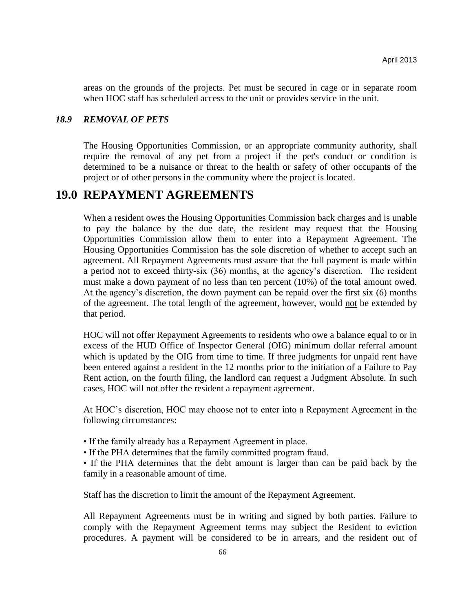areas on the grounds of the projects. Pet must be secured in cage or in separate room when HOC staff has scheduled access to the unit or provides service in the unit.

## *18.9 REMOVAL OF PETS*

The Housing Opportunities Commission, or an appropriate community authority, shall require the removal of any pet from a project if the pet's conduct or condition is determined to be a nuisance or threat to the health or safety of other occupants of the project or of other persons in the community where the project is located.

# **19.0 REPAYMENT AGREEMENTS**

When a resident owes the Housing Opportunities Commission back charges and is unable to pay the balance by the due date, the resident may request that the Housing Opportunities Commission allow them to enter into a Repayment Agreement. The Housing Opportunities Commission has the sole discretion of whether to accept such an agreement. All Repayment Agreements must assure that the full payment is made within a period not to exceed thirty-six (36) months, at the agency's discretion. The resident must make a down payment of no less than ten percent (10%) of the total amount owed. At the agency's discretion, the down payment can be repaid over the first six (6) months of the agreement. The total length of the agreement, however, would not be extended by that period.

HOC will not offer Repayment Agreements to residents who owe a balance equal to or in excess of the HUD Office of Inspector General (OIG) minimum dollar referral amount which is updated by the OIG from time to time. If three judgments for unpaid rent have been entered against a resident in the 12 months prior to the initiation of a Failure to Pay Rent action, on the fourth filing, the landlord can request a Judgment Absolute. In such cases, HOC will not offer the resident a repayment agreement.

At HOC's discretion, HOC may choose not to enter into a Repayment Agreement in the following circumstances:

- If the family already has a Repayment Agreement in place.
- If the PHA determines that the family committed program fraud.

• If the PHA determines that the debt amount is larger than can be paid back by the family in a reasonable amount of time.

Staff has the discretion to limit the amount of the Repayment Agreement.

All Repayment Agreements must be in writing and signed by both parties. Failure to comply with the Repayment Agreement terms may subject the Resident to eviction procedures. A payment will be considered to be in arrears, and the resident out of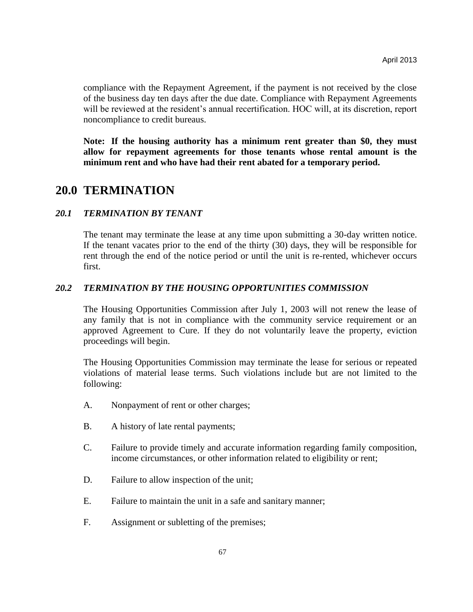compliance with the Repayment Agreement, if the payment is not received by the close of the business day ten days after the due date. Compliance with Repayment Agreements will be reviewed at the resident's annual recertification. HOC will, at its discretion, report noncompliance to credit bureaus.

**Note: If the housing authority has a minimum rent greater than \$0, they must allow for repayment agreements for those tenants whose rental amount is the minimum rent and who have had their rent abated for a temporary period.**

# **20.0 TERMINATION**

# *20.1 TERMINATION BY TENANT*

The tenant may terminate the lease at any time upon submitting a 30-day written notice. If the tenant vacates prior to the end of the thirty (30) days, they will be responsible for rent through the end of the notice period or until the unit is re-rented, whichever occurs first.

## *20.2 TERMINATION BY THE HOUSING OPPORTUNITIES COMMISSION*

The Housing Opportunities Commission after July 1, 2003 will not renew the lease of any family that is not in compliance with the community service requirement or an approved Agreement to Cure. If they do not voluntarily leave the property, eviction proceedings will begin.

The Housing Opportunities Commission may terminate the lease for serious or repeated violations of material lease terms. Such violations include but are not limited to the following:

- A. Nonpayment of rent or other charges;
- B. A history of late rental payments;
- C. Failure to provide timely and accurate information regarding family composition, income circumstances, or other information related to eligibility or rent;
- D. Failure to allow inspection of the unit;
- E. Failure to maintain the unit in a safe and sanitary manner;
- F. Assignment or subletting of the premises;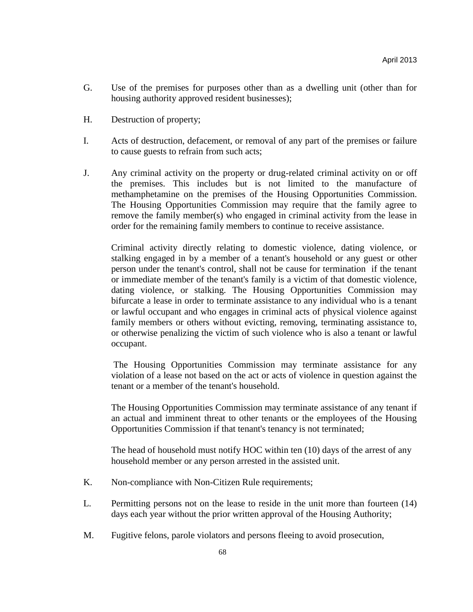- G. Use of the premises for purposes other than as a dwelling unit (other than for housing authority approved resident businesses);
- H. Destruction of property;
- I. Acts of destruction, defacement, or removal of any part of the premises or failure to cause guests to refrain from such acts;
- J. Any criminal activity on the property or drug-related criminal activity on or off the premises. This includes but is not limited to the manufacture of methamphetamine on the premises of the Housing Opportunities Commission. The Housing Opportunities Commission may require that the family agree to remove the family member(s) who engaged in criminal activity from the lease in order for the remaining family members to continue to receive assistance.

Criminal activity directly relating to domestic violence, dating violence, or stalking engaged in by a member of a tenant's household or any guest or other person under the tenant's control, shall not be cause for termination if the tenant or immediate member of the tenant's family is a victim of that domestic violence, dating violence, or stalking. The Housing Opportunities Commission may bifurcate a lease in order to terminate assistance to any individual who is a tenant or lawful occupant and who engages in criminal acts of physical violence against family members or others without evicting, removing, terminating assistance to, or otherwise penalizing the victim of such violence who is also a tenant or lawful occupant.

The Housing Opportunities Commission may terminate assistance for any violation of a lease not based on the act or acts of violence in question against the tenant or a member of the tenant's household.

The Housing Opportunities Commission may terminate assistance of any tenant if an actual and imminent threat to other tenants or the employees of the Housing Opportunities Commission if that tenant's tenancy is not terminated;

The head of household must notify HOC within ten (10) days of the arrest of any household member or any person arrested in the assisted unit.

- K. Non-compliance with Non-Citizen Rule requirements;
- L. Permitting persons not on the lease to reside in the unit more than fourteen (14) days each year without the prior written approval of the Housing Authority;
- M. Fugitive felons, parole violators and persons fleeing to avoid prosecution,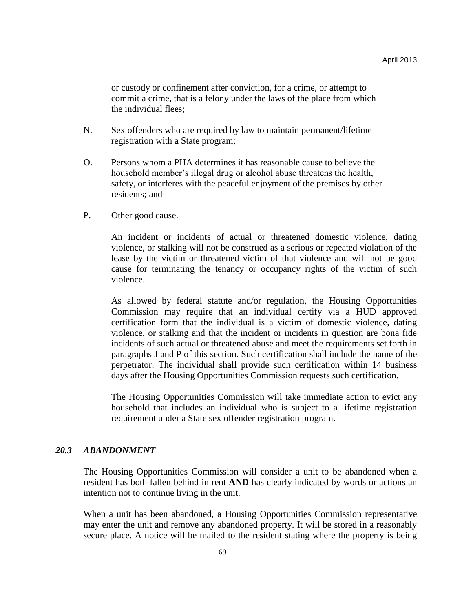or custody or confinement after conviction, for a crime, or attempt to commit a crime, that is a felony under the laws of the place from which the individual flees;

- N. Sex offenders who are required by law to maintain permanent/lifetime registration with a State program;
- O. Persons whom a PHA determines it has reasonable cause to believe the household member's illegal drug or alcohol abuse threatens the health, safety, or interferes with the peaceful enjoyment of the premises by other residents; and
- P. Other good cause.

An incident or incidents of actual or threatened domestic violence, dating violence, or stalking will not be construed as a serious or repeated violation of the lease by the victim or threatened victim of that violence and will not be good cause for terminating the tenancy or occupancy rights of the victim of such violence.

As allowed by federal statute and/or regulation, the Housing Opportunities Commission may require that an individual certify via a HUD approved certification form that the individual is a victim of domestic violence, dating violence, or stalking and that the incident or incidents in question are bona fide incidents of such actual or threatened abuse and meet the requirements set forth in paragraphs J and P of this section. Such certification shall include the name of the perpetrator. The individual shall provide such certification within 14 business days after the Housing Opportunities Commission requests such certification.

The Housing Opportunities Commission will take immediate action to evict any household that includes an individual who is subject to a lifetime registration requirement under a State sex offender registration program.

#### *20.3 ABANDONMENT*

The Housing Opportunities Commission will consider a unit to be abandoned when a resident has both fallen behind in rent **AND** has clearly indicated by words or actions an intention not to continue living in the unit.

When a unit has been abandoned, a Housing Opportunities Commission representative may enter the unit and remove any abandoned property. It will be stored in a reasonably secure place. A notice will be mailed to the resident stating where the property is being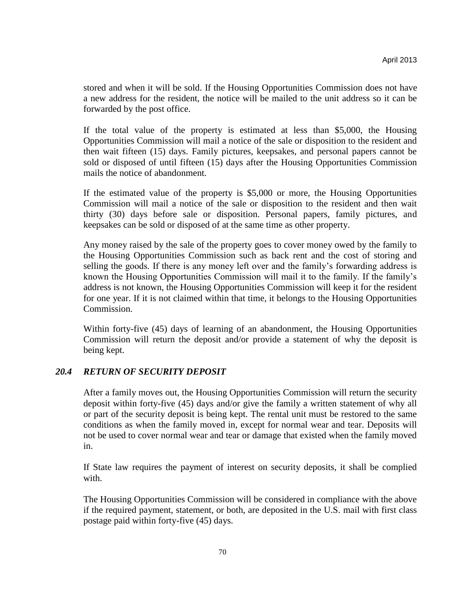stored and when it will be sold. If the Housing Opportunities Commission does not have a new address for the resident, the notice will be mailed to the unit address so it can be forwarded by the post office.

If the total value of the property is estimated at less than \$5,000, the Housing Opportunities Commission will mail a notice of the sale or disposition to the resident and then wait fifteen (15) days. Family pictures, keepsakes, and personal papers cannot be sold or disposed of until fifteen (15) days after the Housing Opportunities Commission mails the notice of abandonment.

If the estimated value of the property is \$5,000 or more, the Housing Opportunities Commission will mail a notice of the sale or disposition to the resident and then wait thirty (30) days before sale or disposition. Personal papers, family pictures, and keepsakes can be sold or disposed of at the same time as other property.

Any money raised by the sale of the property goes to cover money owed by the family to the Housing Opportunities Commission such as back rent and the cost of storing and selling the goods. If there is any money left over and the family's forwarding address is known the Housing Opportunities Commission will mail it to the family. If the family's address is not known, the Housing Opportunities Commission will keep it for the resident for one year. If it is not claimed within that time, it belongs to the Housing Opportunities Commission.

Within forty-five (45) days of learning of an abandonment, the Housing Opportunities Commission will return the deposit and/or provide a statement of why the deposit is being kept.

## *20.4 RETURN OF SECURITY DEPOSIT*

After a family moves out, the Housing Opportunities Commission will return the security deposit within forty-five (45) days and/or give the family a written statement of why all or part of the security deposit is being kept. The rental unit must be restored to the same conditions as when the family moved in, except for normal wear and tear. Deposits will not be used to cover normal wear and tear or damage that existed when the family moved in.

If State law requires the payment of interest on security deposits, it shall be complied with.

The Housing Opportunities Commission will be considered in compliance with the above if the required payment, statement, or both, are deposited in the U.S. mail with first class postage paid within forty-five (45) days.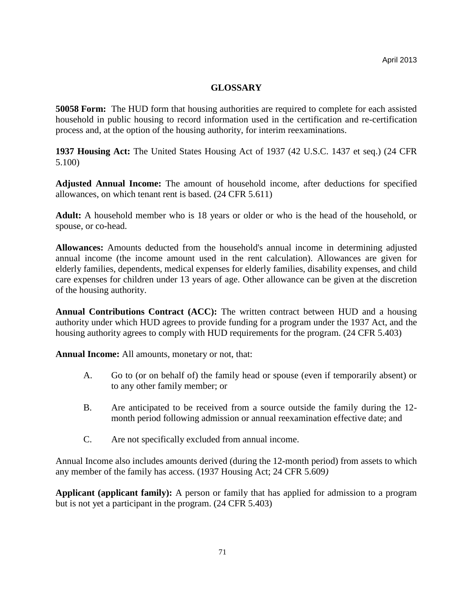#### **GLOSSARY**

**50058 Form:** The HUD form that housing authorities are required to complete for each assisted household in public housing to record information used in the certification and re-certification process and, at the option of the housing authority, for interim reexaminations.

**1937 Housing Act:** The United States Housing Act of 1937 (42 U.S.C. 1437 et seq.) (24 CFR 5.100)

**Adjusted Annual Income:** The amount of household income, after deductions for specified allowances, on which tenant rent is based. (24 CFR 5.611)

**Adult:** A household member who is 18 years or older or who is the head of the household, or spouse, or co-head.

**Allowances:** Amounts deducted from the household's annual income in determining adjusted annual income (the income amount used in the rent calculation). Allowances are given for elderly families, dependents, medical expenses for elderly families, disability expenses, and child care expenses for children under 13 years of age. Other allowance can be given at the discretion of the housing authority.

**Annual Contributions Contract (ACC):** The written contract between HUD and a housing authority under which HUD agrees to provide funding for a program under the 1937 Act, and the housing authority agrees to comply with HUD requirements for the program. (24 CFR 5.403)

**Annual Income:** All amounts, monetary or not, that:

- A. Go to (or on behalf of) the family head or spouse (even if temporarily absent) or to any other family member; or
- B. Are anticipated to be received from a source outside the family during the 12 month period following admission or annual reexamination effective date; and
- C. Are not specifically excluded from annual income.

Annual Income also includes amounts derived (during the 12-month period) from assets to which any member of the family has access. (1937 Housing Act; 24 CFR 5.609*)*

**Applicant (applicant family):** A person or family that has applied for admission to a program but is not yet a participant in the program. (24 CFR 5.403)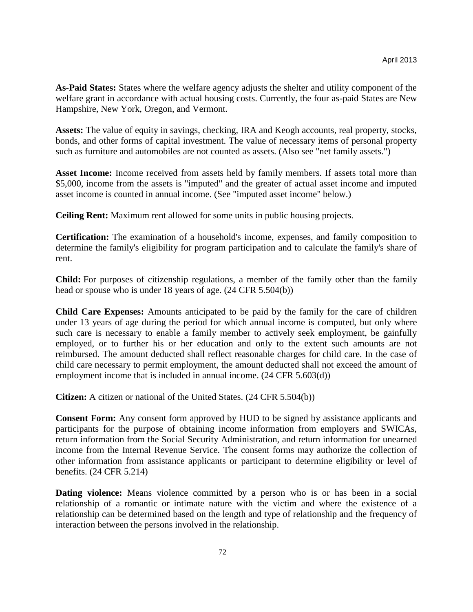**As-Paid States:** States where the welfare agency adjusts the shelter and utility component of the welfare grant in accordance with actual housing costs. Currently, the four as-paid States are New Hampshire, New York, Oregon, and Vermont.

**Assets:** The value of equity in savings, checking, IRA and Keogh accounts, real property, stocks, bonds, and other forms of capital investment. The value of necessary items of personal property such as furniture and automobiles are not counted as assets. (Also see "net family assets.")

Asset Income: Income received from assets held by family members. If assets total more than \$5,000, income from the assets is "imputed" and the greater of actual asset income and imputed asset income is counted in annual income. (See "imputed asset income" below.)

**Ceiling Rent:** Maximum rent allowed for some units in public housing projects.

**Certification:** The examination of a household's income, expenses, and family composition to determine the family's eligibility for program participation and to calculate the family's share of rent.

**Child:** For purposes of citizenship regulations, a member of the family other than the family head or spouse who is under 18 years of age. (24 CFR 5.504(b))

**Child Care Expenses:** Amounts anticipated to be paid by the family for the care of children under 13 years of age during the period for which annual income is computed, but only where such care is necessary to enable a family member to actively seek employment, be gainfully employed, or to further his or her education and only to the extent such amounts are not reimbursed. The amount deducted shall reflect reasonable charges for child care. In the case of child care necessary to permit employment, the amount deducted shall not exceed the amount of employment income that is included in annual income. (24 CFR 5.603(d))

**Citizen:** A citizen or national of the United States. (24 CFR 5.504(b))

**Consent Form:** Any consent form approved by HUD to be signed by assistance applicants and participants for the purpose of obtaining income information from employers and SWICAs, return information from the Social Security Administration, and return information for unearned income from the Internal Revenue Service. The consent forms may authorize the collection of other information from assistance applicants or participant to determine eligibility or level of benefits. (24 CFR 5.214)

**Dating violence:** Means violence committed by a person who is or has been in a social relationship of a romantic or intimate nature with the victim and where the existence of a relationship can be determined based on the length and type of relationship and the frequency of interaction between the persons involved in the relationship.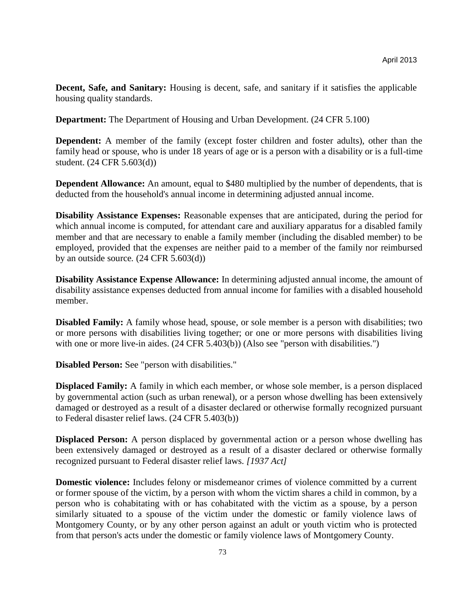**Decent, Safe, and Sanitary:** Housing is decent, safe, and sanitary if it satisfies the applicable housing quality standards.

**Department:** The Department of Housing and Urban Development. (24 CFR 5.100)

**Dependent:** A member of the family (except foster children and foster adults), other than the family head or spouse, who is under 18 years of age or is a person with a disability or is a full-time student. (24 CFR 5.603(d))

**Dependent Allowance:** An amount, equal to \$480 multiplied by the number of dependents, that is deducted from the household's annual income in determining adjusted annual income.

**Disability Assistance Expenses:** Reasonable expenses that are anticipated, during the period for which annual income is computed, for attendant care and auxiliary apparatus for a disabled family member and that are necessary to enable a family member (including the disabled member) to be employed, provided that the expenses are neither paid to a member of the family nor reimbursed by an outside source*.* (24 CFR 5.603(d))

**Disability Assistance Expense Allowance:** In determining adjusted annual income, the amount of disability assistance expenses deducted from annual income for families with a disabled household member.

**Disabled Family:** A family whose head, spouse, or sole member is a person with disabilities; two or more persons with disabilities living together; or one or more persons with disabilities living with one or more live-in aides.  $(24 \text{ CFR } 5.403(b))$  (Also see "person with disabilities.")

**Disabled Person:** See "person with disabilities."

**Displaced Family:** A family in which each member, or whose sole member, is a person displaced by governmental action (such as urban renewal), or a person whose dwelling has been extensively damaged or destroyed as a result of a disaster declared or otherwise formally recognized pursuant to Federal disaster relief laws. (24 CFR 5.403(b))

**Displaced Person:** A person displaced by governmental action or a person whose dwelling has been extensively damaged or destroyed as a result of a disaster declared or otherwise formally recognized pursuant to Federal disaster relief laws*. [1937 Act]*

**Domestic violence:** Includes felony or misdemeanor crimes of violence committed by a current or former spouse of the victim, by a person with whom the victim shares a child in common, by a person who is cohabitating with or has cohabitated with the victim as a spouse, by a person similarly situated to a spouse of the victim under the domestic or family violence laws of Montgomery County, or by any other person against an adult or youth victim who is protected from that person's acts under the domestic or family violence laws of Montgomery County.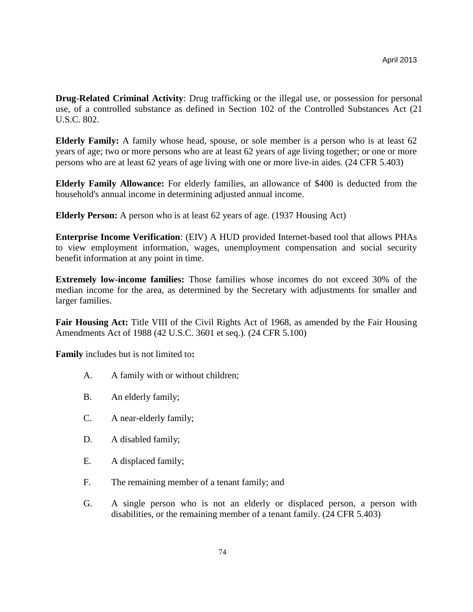**Drug-Related Criminal Activity**: Drug trafficking or the illegal use, or possession for personal use, of a controlled substance as defined in Section 102 of the Controlled Substances Act (21 U.S.C. 802.

**Elderly Family:** A family whose head, spouse, or sole member is a person who is at least 62 years of age; two or more persons who are at least 62 years of age living together; or one or more persons who are at least 62 years of age living with one or more live-in aides. (24 CFR 5.403)

**Elderly Family Allowance:** For elderly families, an allowance of \$400 is deducted from the household's annual income in determining adjusted annual income.

**Elderly Person:** A person who is at least 62 years of age. (1937 Housing Act)

**Enterprise Income Verification**: (EIV) A HUD provided Internet-based tool that allows PHAs to view employment information, wages, unemployment compensation and social security benefit information at any point in time.

**Extremely low-income families:** Those families whose incomes do not exceed 30% of the median income for the area, as determined by the Secretary with adjustments for smaller and larger families.

**Fair Housing Act:** Title VIII of the Civil Rights Act of 1968, as amended by the Fair Housing Amendments Act of 1988 (42 U.S.C. 3601 et seq.)*.* (24 CFR 5.100)

**Family** includes but is not limited to**:**

- A. A family with or without children;
- B. An elderly family;
- C. A near-elderly family;
- D. A disabled family;
- E. A displaced family;
- F. The remaining member of a tenant family; and
- G. A single person who is not an elderly or displaced person, a person with disabilities, or the remaining member of a tenant family. (24 CFR 5.403)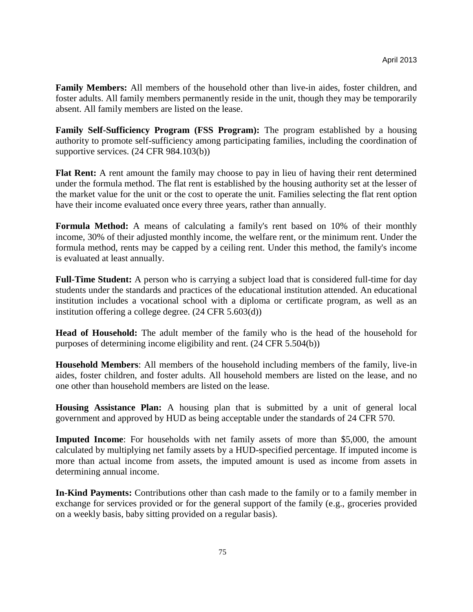**Family Members:** All members of the household other than live-in aides, foster children, and foster adults. All family members permanently reside in the unit, though they may be temporarily absent. All family members are listed on the lease.

**Family Self-Sufficiency Program (FSS Program):** The program established by a housing authority to promote self-sufficiency among participating families, including the coordination of supportive services. (24 CFR 984.103(b))

**Flat Rent:** A rent amount the family may choose to pay in lieu of having their rent determined under the formula method. The flat rent is established by the housing authority set at the lesser of the market value for the unit or the cost to operate the unit. Families selecting the flat rent option have their income evaluated once every three years, rather than annually.

**Formula Method:** A means of calculating a family's rent based on 10% of their monthly income, 30% of their adjusted monthly income, the welfare rent, or the minimum rent. Under the formula method, rents may be capped by a ceiling rent. Under this method, the family's income is evaluated at least annually.

**Full-Time Student:** A person who is carrying a subject load that is considered full-time for day students under the standards and practices of the educational institution attended. An educational institution includes a vocational school with a diploma or certificate program, as well as an institution offering a college degree. (24 CFR 5.603(d))

**Head of Household:** The adult member of the family who is the head of the household for purposes of determining income eligibility and rent. (24 CFR 5.504(b))

**Household Members**: All members of the household including members of the family, live-in aides, foster children, and foster adults. All household members are listed on the lease, and no one other than household members are listed on the lease.

**Housing Assistance Plan:** A housing plan that is submitted by a unit of general local government and approved by HUD as being acceptable under the standards of 24 CFR 570.

**Imputed Income**: For households with net family assets of more than \$5,000, the amount calculated by multiplying net family assets by a HUD-specified percentage. If imputed income is more than actual income from assets, the imputed amount is used as income from assets in determining annual income.

**In-Kind Payments:** Contributions other than cash made to the family or to a family member in exchange for services provided or for the general support of the family (e.g., groceries provided on a weekly basis, baby sitting provided on a regular basis).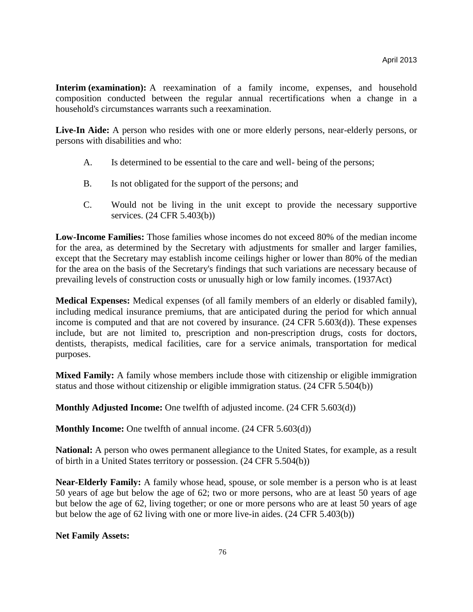**Interim (examination):** A reexamination of a family income, expenses, and household composition conducted between the regular annual recertifications when a change in a household's circumstances warrants such a reexamination.

**Live-In Aide:** A person who resides with one or more elderly persons, near-elderly persons, or persons with disabilities and who:

- A. Is determined to be essential to the care and well- being of the persons;
- B. Is not obligated for the support of the persons; and
- C. Would not be living in the unit except to provide the necessary supportive services. (24 CFR 5.403(b))

**Low-Income Families:** Those families whose incomes do not exceed 80% of the median income for the area, as determined by the Secretary with adjustments for smaller and larger families, except that the Secretary may establish income ceilings higher or lower than 80% of the median for the area on the basis of the Secretary's findings that such variations are necessary because of prevailing levels of construction costs or unusually high or low family incomes. (1937Act)

**Medical Expenses:** Medical expenses (of all family members of an elderly or disabled family), including medical insurance premiums, that are anticipated during the period for which annual income is computed and that are not covered by insurance. (24 CFR 5.603(d)). These expenses include, but are not limited to, prescription and non-prescription drugs, costs for doctors, dentists, therapists, medical facilities, care for a service animals, transportation for medical purposes.

**Mixed Family:** A family whose members include those with citizenship or eligible immigration status and those without citizenship or eligible immigration status. (24 CFR 5.504(b))

**Monthly Adjusted Income:** One twelfth of adjusted income. (24 CFR 5.603(d))

**Monthly Income:** One twelfth of annual income. (24 CFR 5.603(d))

**National:** A person who owes permanent allegiance to the United States, for example, as a result of birth in a United States territory or possession. (24 CFR 5.504(b))

**Near-Elderly Family:** A family whose head, spouse, or sole member is a person who is at least 50 years of age but below the age of 62; two or more persons, who are at least 50 years of age but below the age of 62, living together; or one or more persons who are at least 50 years of age but below the age of 62 living with one or more live-in aides. (24 CFR 5.403(b))

### **Net Family Assets:**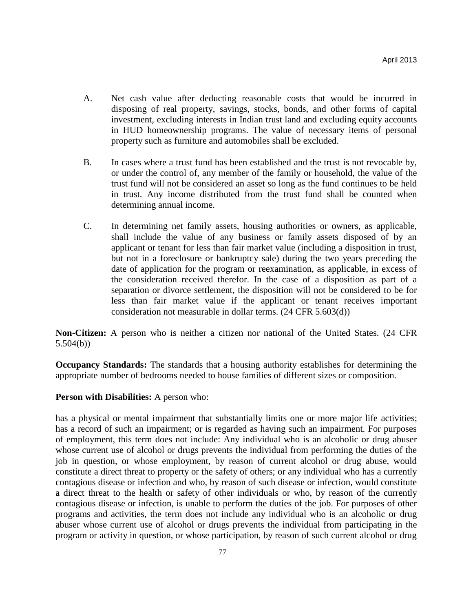- A. Net cash value after deducting reasonable costs that would be incurred in disposing of real property, savings, stocks, bonds, and other forms of capital investment, excluding interests in Indian trust land and excluding equity accounts in HUD homeownership programs. The value of necessary items of personal property such as furniture and automobiles shall be excluded.
- B. In cases where a trust fund has been established and the trust is not revocable by, or under the control of, any member of the family or household, the value of the trust fund will not be considered an asset so long as the fund continues to be held in trust. Any income distributed from the trust fund shall be counted when determining annual income.
- C. In determining net family assets, housing authorities or owners, as applicable, shall include the value of any business or family assets disposed of by an applicant or tenant for less than fair market value (including a disposition in trust, but not in a foreclosure or bankruptcy sale) during the two years preceding the date of application for the program or reexamination, as applicable, in excess of the consideration received therefor. In the case of a disposition as part of a separation or divorce settlement, the disposition will not be considered to be for less than fair market value if the applicant or tenant receives important consideration not measurable in dollar terms. (24 CFR 5.603(d))

**Non-Citizen:** A person who is neither a citizen nor national of the United States. (24 CFR 5.504(b))

**Occupancy Standards:** The standards that a housing authority establishes for determining the appropriate number of bedrooms needed to house families of different sizes or composition*.*

### **Person with Disabilities:** A person who:

has a physical or mental impairment that substantially limits one or more major life activities; has a record of such an impairment; or is regarded as having such an impairment. For purposes of employment, this term does not include: Any individual who is an alcoholic or drug abuser whose current use of alcohol or drugs prevents the individual from performing the duties of the job in question, or whose employment, by reason of current alcohol or drug abuse, would constitute a direct threat to property or the safety of others; or any individual who has a currently contagious disease or infection and who, by reason of such disease or infection, would constitute a direct threat to the health or safety of other individuals or who, by reason of the currently contagious disease or infection, is unable to perform the duties of the job. For purposes of other programs and activities, the term does not include any individual who is an alcoholic or drug abuser whose current use of alcohol or drugs prevents the individual from participating in the program or activity in question, or whose participation, by reason of such current alcohol or drug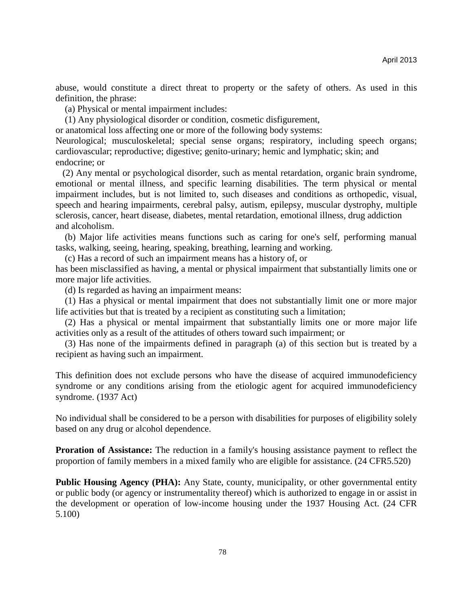abuse, would constitute a direct threat to property or the safety of others. As used in this definition, the phrase:

(a) Physical or mental impairment includes:

(1) Any physiological disorder or condition, cosmetic disfigurement,

or anatomical loss affecting one or more of the following body systems:

Neurological; musculoskeletal; special sense organs; respiratory, including speech organs; cardiovascular; reproductive; digestive; genito-urinary; hemic and lymphatic; skin; and endocrine; or

 (2) Any mental or psychological disorder, such as mental retardation, organic brain syndrome, emotional or mental illness, and specific learning disabilities. The term physical or mental impairment includes, but is not limited to, such diseases and conditions as orthopedic, visual, speech and hearing impairments, cerebral palsy, autism, epilepsy, muscular dystrophy, multiple sclerosis, cancer, heart disease, diabetes, mental retardation, emotional illness, drug addiction and alcoholism.

 (b) Major life activities means functions such as caring for one's self, performing manual tasks, walking, seeing, hearing, speaking, breathing, learning and working.

(c) Has a record of such an impairment means has a history of, or

has been misclassified as having, a mental or physical impairment that substantially limits one or more major life activities.

(d) Is regarded as having an impairment means:

 (1) Has a physical or mental impairment that does not substantially limit one or more major life activities but that is treated by a recipient as constituting such a limitation;

 (2) Has a physical or mental impairment that substantially limits one or more major life activities only as a result of the attitudes of others toward such impairment; or

 (3) Has none of the impairments defined in paragraph (a) of this section but is treated by a recipient as having such an impairment.

This definition does not exclude persons who have the disease of acquired immunodeficiency syndrome or any conditions arising from the etiologic agent for acquired immunodeficiency syndrome. (1937 Act)

No individual shall be considered to be a person with disabilities for purposes of eligibility solely based on any drug or alcohol dependence.

**Proration of Assistance:** The reduction in a family's housing assistance payment to reflect the proportion of family members in a mixed family who are eligible for assistance. (24 CFR5.520)

**Public Housing Agency (PHA):** Any State, county, municipality, or other governmental entity or public body (or agency or instrumentality thereof) which is authorized to engage in or assist in the development or operation of low-income housing under the 1937 Housing Act. (24 CFR 5.100)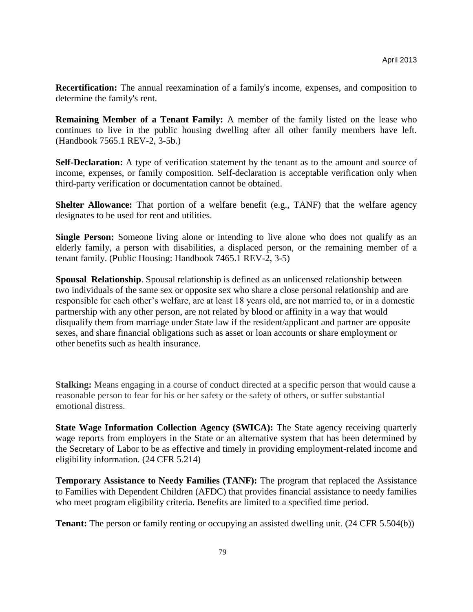**Recertification:** The annual reexamination of a family's income, expenses, and composition to determine the family's rent.

**Remaining Member of a Tenant Family:** A member of the family listed on the lease who continues to live in the public housing dwelling after all other family members have left. (Handbook 7565.1 REV-2, 3-5b.)

**Self-Declaration:** A type of verification statement by the tenant as to the amount and source of income, expenses, or family composition. Self-declaration is acceptable verification only when third-party verification or documentation cannot be obtained.

**Shelter Allowance:** That portion of a welfare benefit (e.g., TANF) that the welfare agency designates to be used for rent and utilities.

**Single Person:** Someone living alone or intending to live alone who does not qualify as an elderly family, a person with disabilities, a displaced person, or the remaining member of a tenant family. (Public Housing: Handbook 7465.1 REV-2, 3-5)

**Spousal Relationship**. Spousal relationship is defined as an unlicensed relationship between two individuals of the same sex or opposite sex who share a close personal relationship and are responsible for each other's welfare, are at least 18 years old, are not married to, or in a domestic partnership with any other person, are not related by blood or affinity in a way that would disqualify them from marriage under State law if the resident/applicant and partner are opposite sexes, and share financial obligations such as asset or loan accounts or share employment or other benefits such as health insurance.

**Stalking:** Means engaging in a course of conduct directed at a specific person that would cause a reasonable person to fear for his or her safety or the safety of others, or suffer substantial emotional distress.

**State Wage Information Collection Agency (SWICA):** The State agency receiving quarterly wage reports from employers in the State or an alternative system that has been determined by the Secretary of Labor to be as effective and timely in providing employment-related income and eligibility information. (24 CFR 5.214)

**Temporary Assistance to Needy Families (TANF):** The program that replaced the Assistance to Families with Dependent Children (AFDC) that provides financial assistance to needy families who meet program eligibility criteria. Benefits are limited to a specified time period.

**Tenant:** The person or family renting or occupying an assisted dwelling unit. (24 CFR 5.504(b))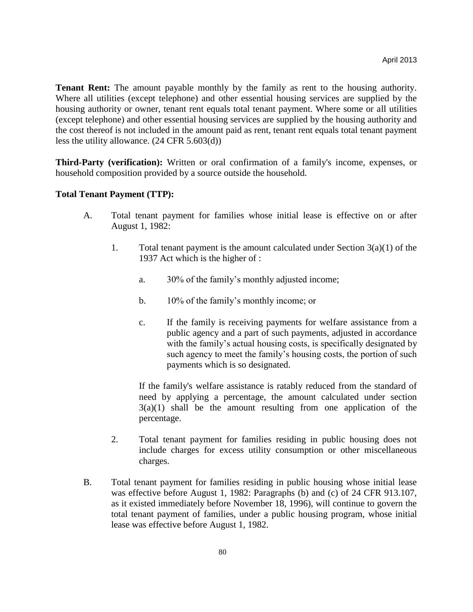**Tenant Rent:** The amount payable monthly by the family as rent to the housing authority. Where all utilities (except telephone) and other essential housing services are supplied by the housing authority or owner, tenant rent equals total tenant payment. Where some or all utilities (except telephone) and other essential housing services are supplied by the housing authority and the cost thereof is not included in the amount paid as rent, tenant rent equals total tenant payment less the utility allowance. (24 CFR 5.603(d))

**Third-Party (verification):** Written or oral confirmation of a family's income, expenses, or household composition provided by a source outside the household.

## **Total Tenant Payment (TTP):**

- A. Total tenant payment for families whose initial lease is effective on or after August 1, 1982:
	- 1. Total tenant payment is the amount calculated under Section 3(a)(1) of the 1937 Act which is the higher of :
		- a. 30% of the family's monthly adjusted income;
		- b. 10% of the family's monthly income; or
		- c. If the family is receiving payments for welfare assistance from a public agency and a part of such payments, adjusted in accordance with the family's actual housing costs, is specifically designated by such agency to meet the family's housing costs, the portion of such payments which is so designated.

If the family's welfare assistance is ratably reduced from the standard of need by applying a percentage, the amount calculated under section  $3(a)(1)$  shall be the amount resulting from one application of the percentage.

- 2. Total tenant payment for families residing in public housing does not include charges for excess utility consumption or other miscellaneous charges.
- B. Total tenant payment for families residing in public housing whose initial lease was effective before August 1, 1982: Paragraphs (b) and (c) of 24 CFR 913.107, as it existed immediately before November 18, 1996), will continue to govern the total tenant payment of families, under a public housing program, whose initial lease was effective before August 1, 1982.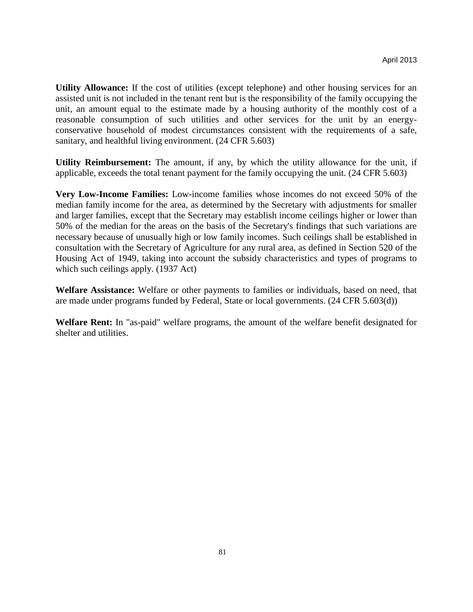**Utility Allowance:** If the cost of utilities (except telephone) and other housing services for an assisted unit is not included in the tenant rent but is the responsibility of the family occupying the unit, an amount equal to the estimate made by a housing authority of the monthly cost of a reasonable consumption of such utilities and other services for the unit by an energyconservative household of modest circumstances consistent with the requirements of a safe, sanitary, and healthful living environment. (24 CFR 5.603)

**Utility Reimbursement:** The amount, if any, by which the utility allowance for the unit, if applicable, exceeds the total tenant payment for the family occupying the unit. (24 CFR 5.603)

**Very Low-Income Families:** Low-income families whose incomes do not exceed 50% of the median family income for the area, as determined by the Secretary with adjustments for smaller and larger families, except that the Secretary may establish income ceilings higher or lower than 50% of the median for the areas on the basis of the Secretary's findings that such variations are necessary because of unusually high or low family incomes. Such ceilings shall be established in consultation with the Secretary of Agriculture for any rural area, as defined in Section 520 of the Housing Act of 1949, taking into account the subsidy characteristics and types of programs to which such ceilings apply. (1937 Act)

**Welfare Assistance:** Welfare or other payments to families or individuals, based on need, that are made under programs funded by Federal, State or local governments. (24 CFR 5.603(d))

**Welfare Rent:** In "as-paid" welfare programs, the amount of the welfare benefit designated for shelter and utilities.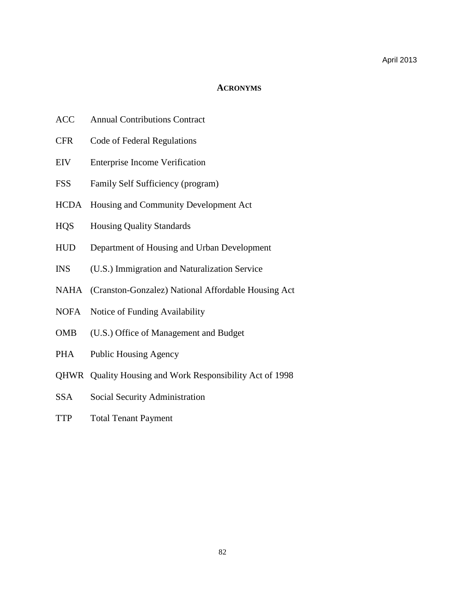#### **ACRONYMS**

- ACC Annual Contributions Contract
- CFR Code of Federal Regulations
- EIV Enterprise Income Verification
- FSS Family Self Sufficiency (program)
- HCDA Housing and Community Development Act
- HQS Housing Quality Standards
- HUD Department of Housing and Urban Development
- INS (U.S.) Immigration and Naturalization Service
- NAHA (Cranston-Gonzalez) National Affordable Housing Act
- NOFA Notice of Funding Availability
- OMB (U.S.) Office of Management and Budget
- PHA Public Housing Agency
- QHWR Quality Housing and Work Responsibility Act of 1998
- SSA Social Security Administration
- TTP Total Tenant Payment